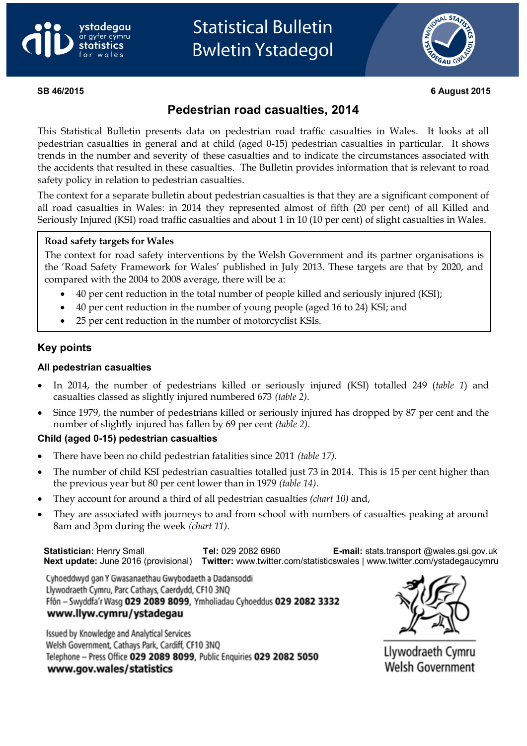



#### **SB 46/2015 6 August 2015**

# **Pedestrian road casualties, 2014**

This Statistical Bulletin presents data on pedestrian road traffic casualties in Wales. It looks at all pedestrian casualties in general and at child (aged 0-15) pedestrian casualties in particular. It shows trends in the number and severity of these casualties and to indicate the circumstances associated with the accidents that resulted in these casualties. The Bulletin provides information that is relevant to road safety policy in relation to pedestrian casualties.

The context for a separate bulletin about pedestrian casualties is that they are a significant component of all road casualties in Wales: in 2014 they represented almost of fifth (20 per cent) of all Killed and Seriously Injured (KSI) road traffic casualties and about 1 in 10 (10 per cent) of slight casualties in Wales.

# **Road safety targets for Wales**

 The context for road safety interventions by the Welsh Government and its partner organisations is the 'Road Safety Framework for Wales' published in July 2013. These targets are that by 2020, and compared with the 2004 to 2008 average, there will be a:

- 40 per cent reduction in the total number of people killed and seriously injured (KSI);
- 40 per cent reduction in the number of young people (aged 16 to 24) KSI; and
- 25 per cent reduction in the number of motorcyclist KSIs.

### **Key points**

#### **All pedestrian casualties**

- In 2014, the number of pedestrians killed or seriously injured (KSI) totalled 249 (*table 1*) and casualties classed as slightly injured numbered 673 *(table 2)*.
- Since 1979, the number of pedestrians killed or seriously injured has dropped by 87 per cent and the number of slightly injured has fallen by 69 per cent *(table 2)*.

#### **Child (aged 0-15) pedestrian casualties**

- There have been no child pedestrian fatalities since 2011 *(table 17)*.
- The number of child KSI pedestrian casualties totalled just 73 in 2014. This is 15 per cent higher than the previous year but 80 per cent lower than in 1979 *(table 14)*.
- They account for around a third of all pedestrian casualties *(chart 10)* and,
- They are associated with journeys to and from school with numbers of casualties peaking at around 8am and 3pm during the week *(chart 11)*.

**Statistician:** Henry Small **Tel:** 029 2082 6960 **E-mail:** stats.transport [@wales.gsi.gov.uk](mailto:stats.transport@wales.gsi.gov.uk) **Next update:** June 2016 (provisional) **Twitter:** www.twitter.com/statisticswales | www.twitter.com/ystadegaucymru

Cyhoeddwyd gan Y Gwasanaethau Gwybodaeth a Dadansoddi Llywodraeth Cymru, Parc Cathays, Caerdydd, CF10 3NQ Ffôn - Swyddfa'r Wasg 029 2089 8099, Ymholiadau Cyhoeddus 029 2082 3332 www.llyw.cymru/ystadegau

Issued by Knowledge and Analytical Services Welsh Government, Cathays Park, Cardiff, CF10 3NQ Telephone - Press Office 029 2089 8099, Public Enquiries 029 2082 5050 www.gov.wales/statistics



Llywodraeth Cymru Welsh Government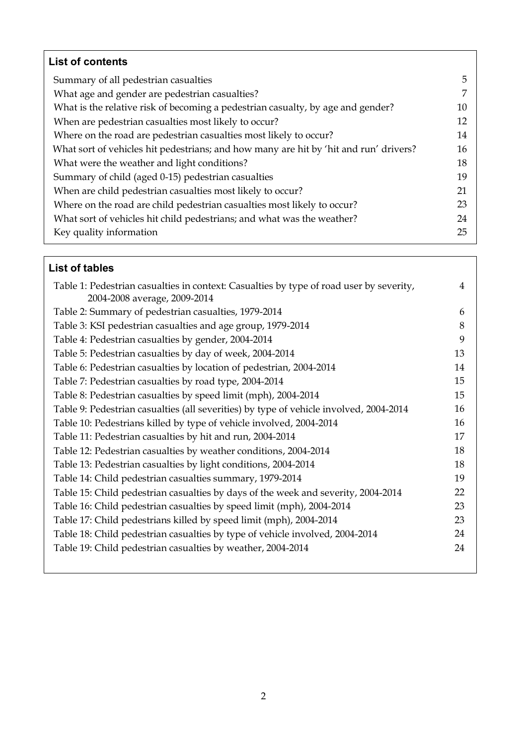| <b>List of contents</b>                                                               |    |
|---------------------------------------------------------------------------------------|----|
| Summary of all pedestrian casualties                                                  | 5  |
| What age and gender are pedestrian casualties?                                        | 7  |
| What is the relative risk of becoming a pedestrian casualty, by age and gender?       | 10 |
| When are pedestrian casualties most likely to occur?                                  | 12 |
| Where on the road are pedestrian casualties most likely to occur?                     | 14 |
| What sort of vehicles hit pedestrians; and how many are hit by 'hit and run' drivers? | 16 |
| What were the weather and light conditions?                                           | 18 |
| Summary of child (aged 0-15) pedestrian casualties                                    | 19 |
| When are child pedestrian casualties most likely to occur?                            | 21 |
| Where on the road are child pedestrian casualties most likely to occur?               | 23 |
| What sort of vehicles hit child pedestrians; and what was the weather?                | 24 |
| Key quality information                                                               | 25 |

# **List of tables**

| Table 1: Pedestrian casualties in context: Casualties by type of road user by severity, | 4  |
|-----------------------------------------------------------------------------------------|----|
| 2004-2008 average, 2009-2014                                                            |    |
| Table 2: Summary of pedestrian casualties, 1979-2014                                    | 6  |
| Table 3: KSI pedestrian casualties and age group, 1979-2014                             | 8  |
| Table 4: Pedestrian casualties by gender, 2004-2014                                     | 9  |
| Table 5: Pedestrian casualties by day of week, 2004-2014                                | 13 |
| Table 6: Pedestrian casualties by location of pedestrian, 2004-2014                     | 14 |
| Table 7: Pedestrian casualties by road type, 2004-2014                                  | 15 |
| Table 8: Pedestrian casualties by speed limit (mph), 2004-2014                          | 15 |
| Table 9: Pedestrian casualties (all severities) by type of vehicle involved, 2004-2014  | 16 |
| Table 10: Pedestrians killed by type of vehicle involved, 2004-2014                     | 16 |
| Table 11: Pedestrian casualties by hit and run, 2004-2014                               | 17 |
| Table 12: Pedestrian casualties by weather conditions, 2004-2014                        | 18 |
| Table 13: Pedestrian casualties by light conditions, 2004-2014                          | 18 |
| Table 14: Child pedestrian casualties summary, 1979-2014                                | 19 |
| Table 15: Child pedestrian casualties by days of the week and severity, 2004-2014       | 22 |
| Table 16: Child pedestrian casualties by speed limit (mph), 2004-2014                   | 23 |
| Table 17: Child pedestrians killed by speed limit (mph), 2004-2014                      | 23 |
| Table 18: Child pedestrian casualties by type of vehicle involved, 2004-2014            | 24 |
| Table 19: Child pedestrian casualties by weather, 2004-2014                             | 24 |
|                                                                                         |    |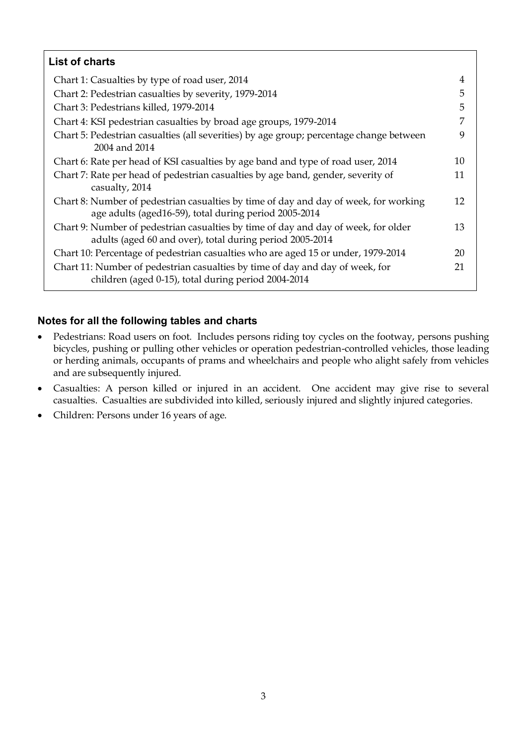| <b>List of charts</b>                                                                                                                          |    |
|------------------------------------------------------------------------------------------------------------------------------------------------|----|
| Chart 1: Casualties by type of road user, 2014                                                                                                 | 4  |
| Chart 2: Pedestrian casualties by severity, 1979-2014                                                                                          | 5  |
| Chart 3: Pedestrians killed, 1979-2014                                                                                                         | 5  |
| Chart 4: KSI pedestrian casualties by broad age groups, 1979-2014                                                                              | 7  |
| Chart 5: Pedestrian casualties (all severities) by age group; percentage change between<br>2004 and 2014                                       | 9  |
| Chart 6: Rate per head of KSI casualties by age band and type of road user, 2014                                                               | 10 |
| Chart 7: Rate per head of pedestrian casualties by age band, gender, severity of<br>casualty, 2014                                             | 11 |
| Chart 8: Number of pedestrian casualties by time of day and day of week, for working<br>age adults (aged16-59), total during period 2005-2014  | 12 |
| Chart 9: Number of pedestrian casualties by time of day and day of week, for older<br>adults (aged 60 and over), total during period 2005-2014 | 13 |
| Chart 10: Percentage of pedestrian casualties who are aged 15 or under, 1979-2014                                                              | 20 |
| Chart 11: Number of pedestrian casualties by time of day and day of week, for<br>children (aged 0-15), total during period 2004-2014           | 21 |

# **Notes for all the following tables and charts**

- Pedestrians: Road users on foot. Includes persons riding toy cycles on the footway, persons pushing bicycles, pushing or pulling other vehicles or operation pedestrian-controlled vehicles, those leading or herding animals, occupants of prams and wheelchairs and people who alight safely from vehicles and are subsequently injured.
- Casualties: A person killed or injured in an accident. One accident may give rise to several casualties. Casualties are subdivided into killed, seriously injured and slightly injured categories.
- Children: Persons under 16 years of age.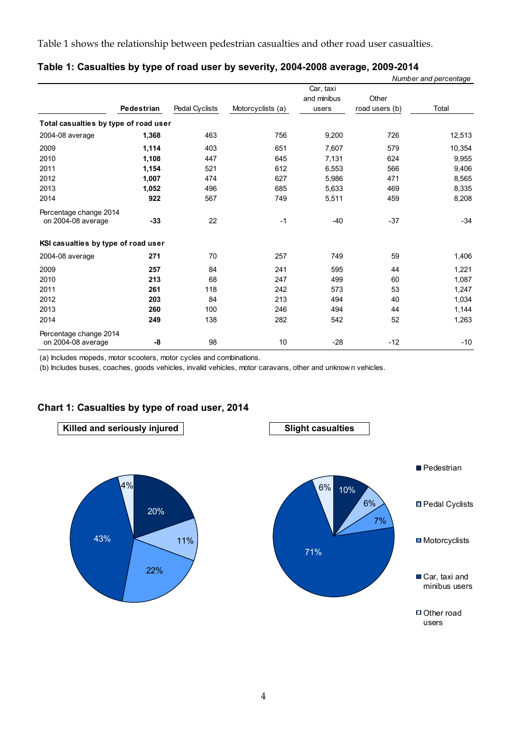Table 1 shows the relationship between pedestrian casualties and other road user casualties.

|                                              |            |                |                   |                                   |                         | Number and percentage |
|----------------------------------------------|------------|----------------|-------------------|-----------------------------------|-------------------------|-----------------------|
|                                              | Pedestrian | Pedal Cyclists | Motorcyclists (a) | Car, taxi<br>and minibus<br>users | Other<br>road users (b) | Total                 |
| Total casualties by type of road user        |            |                |                   |                                   |                         |                       |
| 2004-08 average                              | 1,368      | 463            | 756               | 9,200                             | 726                     | 12,513                |
| 2009                                         | 1,114      | 403            | 651               | 7,607                             | 579                     | 10,354                |
| 2010                                         | 1,108      | 447            | 645               | 7,131                             | 624                     | 9,955                 |
| 2011                                         | 1,154      | 521            | 612               | 6,553                             | 566                     | 9,406                 |
| 2012                                         | 1,007      | 474            | 627               | 5,986                             | 471                     | 8,565                 |
| 2013                                         | 1,052      | 496            | 685               | 5,633                             | 469                     | 8,335                 |
| 2014                                         | 922        | 567            | 749               | 5,511                             | 459                     | 8,208                 |
| Percentage change 2014<br>on 2004-08 average | $-33$      | 22             | $-1$              | $-40$                             | $-37$                   | $-34$                 |
| KSI casualties by type of road user          |            |                |                   |                                   |                         |                       |
| 2004-08 average                              | 271        | 70             | 257               | 749                               | 59                      | 1,406                 |
| 2009                                         | 257        | 84             | 241               | 595                               | 44                      | 1,221                 |
| 2010                                         | 213        | 68             | 247               | 499                               | 60                      | 1,087                 |
| 2011                                         | 261        | 118            | 242               | 573                               | 53                      | 1,247                 |
| 2012                                         | 203        | 84             | 213               | 494                               | 40                      | 1,034                 |
| 2013                                         | 260        | 100            | 246               | 494                               | 44                      | 1,144                 |
| 2014                                         | 249        | 138            | 282               | 542                               | 52                      | 1,263                 |
| Percentage change 2014<br>on 2004-08 average | -8         | 98             | 10                | $-28$                             | $-12$                   | $-10$                 |

#### **Table 1: Casualties by type of road user by severity, 2004-2008 average, 2009-2014**

(a) Includes mopeds, motor scooters, motor cycles and combinations.

(b) Includes buses, coaches, goods vehicles, invalid vehicles, motor caravans, other and unknow n vehicles.

### **Chart 1: Casualties by type of road user, 2014**





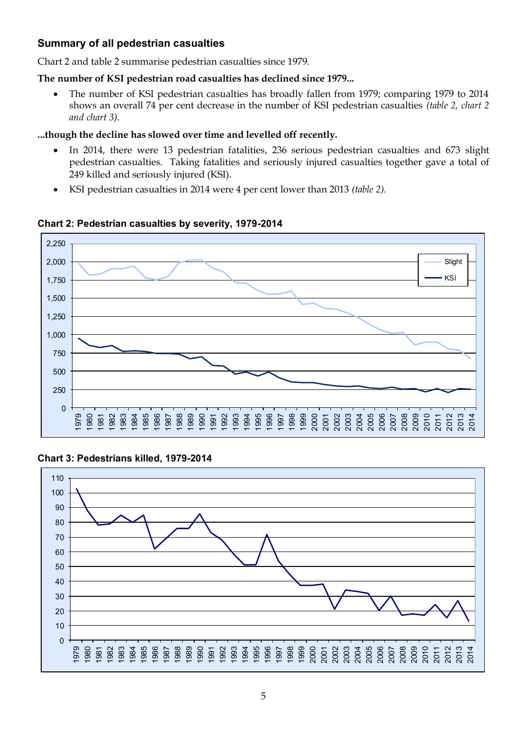# **Summary of all pedestrian casualties**

Chart 2 and table 2 summarise pedestrian casualties since 1979.

#### **The number of KSI pedestrian road casualties has declined since 1979...**

 The number of KSI pedestrian casualties has broadly fallen from 1979; comparing 1979 to 2014 shows an overall 74 per cent decrease in the number of KSI pedestrian casualties *(table 2, chart 2 and chart 3)*.

#### **...though the decline has slowed over time and levelled off recently.**

- In 2014, there were 13 pedestrian fatalities, 236 serious pedestrian casualties and 673 slight pedestrian casualties. Taking fatalities and seriously injured casualties together gave a total of 249 killed and seriously injured (KSI).
- KSI pedestrian casualties in 2014 were 4 per cent lower than 2013 *(table 2).*



#### **Chart 2: Pedestrian casualties by severity, 1979-2014**

### **Chart 3: Pedestrians killed, 1979-2014**

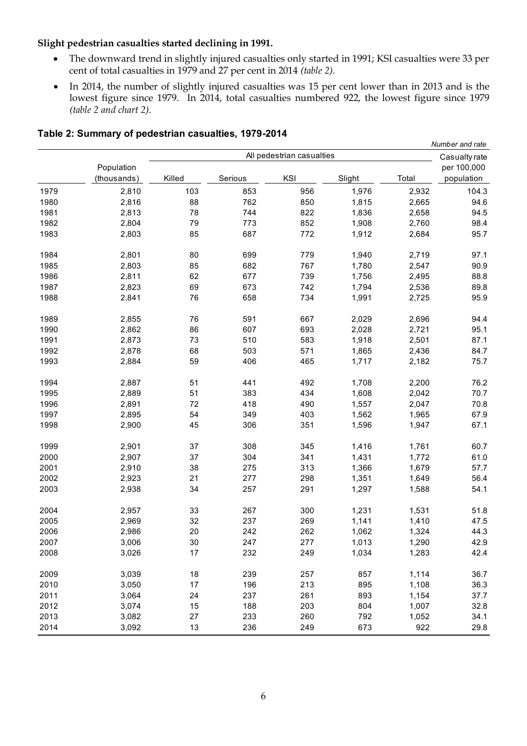#### **Slight pedestrian casualties started declining in 1991.**

- The downward trend in slightly injured casualties only started in 1991; KSI casualties were 33 per cent of total casualties in 1979 and 27 per cent in 2014 *(table 2).*
- In 2014, the number of slightly injured casualties was 15 per cent lower than in 2013 and is the lowest figure since 1979. In 2014, total casualties numbered 922, the lowest figure since 1979 *(table 2 and chart 2).*

*Number and rate*

|      |                           |        |         | All pedestrian casualties |        |       | Casualty rate             |  |
|------|---------------------------|--------|---------|---------------------------|--------|-------|---------------------------|--|
|      | Population<br>(thousands) | Killed | Serious | KSI                       | Slight | Total | per 100,000<br>population |  |
| 1979 | 2,810                     | 103    | 853     | 956                       | 1,976  | 2,932 | 104.3                     |  |
| 1980 | 2,816                     | 88     | 762     | 850                       | 1,815  | 2,665 | 94.6                      |  |
| 1981 | 2,813                     | 78     | 744     | 822                       | 1,836  | 2,658 | 94.5                      |  |
| 1982 | 2,804                     | 79     | 773     | 852                       | 1,908  | 2,760 | 98.4                      |  |
| 1983 | 2,803                     | 85     | 687     | 772                       | 1,912  | 2,684 | 95.7                      |  |
| 1984 | 2,801                     | 80     | 699     | 779                       | 1,940  | 2,719 | 97.1                      |  |
| 1985 | 2,803                     | 85     | 682     | 767                       | 1,780  | 2,547 | 90.9                      |  |
| 1986 | 2,811                     | 62     | 677     | 739                       | 1,756  | 2,495 | 88.8                      |  |
| 1987 | 2,823                     | 69     | 673     | 742                       | 1,794  | 2,536 | 89.8                      |  |
| 1988 | 2,841                     | 76     | 658     | 734                       | 1,991  | 2,725 | 95.9                      |  |
| 1989 | 2,855                     | 76     | 591     | 667                       | 2,029  | 2,696 | 94.4                      |  |
| 1990 | 2,862                     | 86     | 607     | 693                       | 2,028  | 2,721 | 95.1                      |  |
| 1991 | 2,873                     | 73     | 510     | 583                       | 1,918  | 2,501 | 87.1                      |  |
| 1992 | 2,878                     | 68     | 503     | 571                       | 1,865  | 2,436 | 84.7                      |  |
| 1993 | 2,884                     | 59     | 406     | 465                       | 1,717  | 2,182 | 75.7                      |  |
| 1994 | 2,887                     | 51     | 441     | 492                       | 1,708  | 2,200 | 76.2                      |  |
| 1995 | 2,889                     | 51     | 383     | 434                       | 1,608  | 2,042 | 70.7                      |  |
| 1996 | 2,891                     | 72     | 418     | 490                       | 1,557  | 2,047 | 70.8                      |  |
| 1997 | 2,895                     | 54     | 349     | 403                       | 1,562  | 1,965 | 67.9                      |  |
| 1998 | 2,900                     | 45     | 306     | 351                       | 1,596  | 1,947 | 67.1                      |  |
| 1999 | 2,901                     | 37     | 308     | 345                       | 1,416  | 1,761 | 60.7                      |  |
| 2000 | 2,907                     | 37     | 304     | 341                       | 1,431  | 1,772 | 61.0                      |  |
| 2001 | 2,910                     | 38     | 275     | 313                       | 1,366  | 1,679 | 57.7                      |  |
| 2002 | 2,923                     | 21     | 277     | 298                       | 1,351  | 1,649 | 56.4                      |  |
| 2003 | 2,938                     | 34     | 257     | 291                       | 1,297  | 1,588 | 54.1                      |  |
| 2004 | 2,957                     | 33     | 267     | 300                       | 1,231  | 1,531 | 51.8                      |  |
| 2005 | 2,969                     | 32     | 237     | 269                       | 1,141  | 1,410 | 47.5                      |  |
| 2006 | 2,986                     | 20     | 242     | 262                       | 1,062  | 1,324 | 44.3                      |  |
| 2007 | 3,006                     | 30     | 247     | 277                       | 1,013  | 1,290 | 42.9                      |  |
| 2008 | 3,026                     | 17     | 232     | 249                       | 1,034  | 1,283 | 42.4                      |  |
| 2009 | 3,039                     | 18     | 239     | 257                       | 857    | 1,114 | 36.7                      |  |
| 2010 | 3,050                     | 17     | 196     | 213                       | 895    | 1,108 | 36.3                      |  |
| 2011 | 3,064                     | 24     | 237     | 261                       | 893    | 1,154 | 37.7                      |  |
| 2012 | 3,074                     | 15     | 188     | 203                       | 804    | 1,007 | 32.8                      |  |
| 2013 | 3,082                     | 27     | 233     | 260                       | 792    | 1,052 | 34.1                      |  |
| 2014 | 3,092                     | 13     | 236     | 249                       | 673    | 922   | 29.8                      |  |

#### **Table 2: Summary of pedestrian casualties, 1979-2014**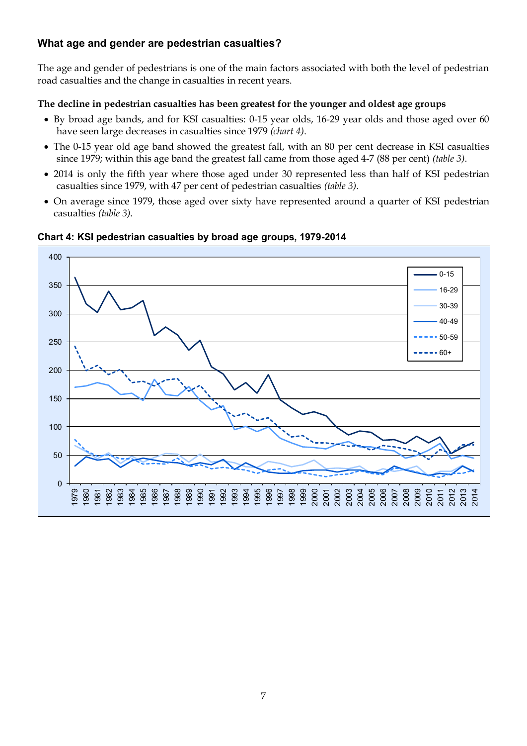# **What age and gender are pedestrian casualties?**

The age and gender of pedestrians is one of the main factors associated with both the level of pedestrian road casualties and the change in casualties in recent years.

#### **The decline in pedestrian casualties has been greatest for the younger and oldest age groups**

- By broad age bands, and for KSI casualties: 0-15 year olds, 16-29 year olds and those aged over 60 have seen large decreases in casualties since 1979 *(chart 4)*.
- The 0-15 year old age band showed the greatest fall, with an 80 per cent decrease in KSI casualties since 1979; within this age band the greatest fall came from those aged 4-7 (88 per cent) *(table 3)*.
- 2014 is only the fifth year where those aged under 30 represented less than half of KSI pedestrian casualties since 1979, with 47 per cent of pedestrian casualties *(table 3)*.
- On average since 1979, those aged over sixty have represented around a quarter of KSI pedestrian casualties *(table 3)*.



#### **Chart 4: KSI pedestrian casualties by broad age groups, 1979-2014**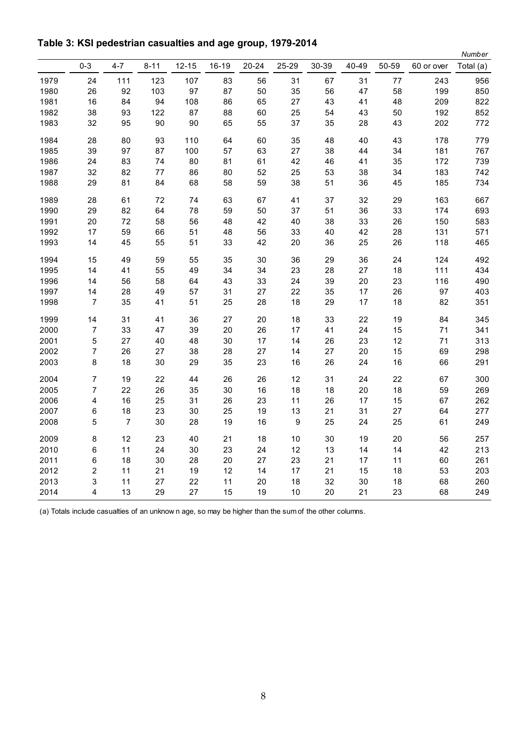|      |                  |                |          |           |         |       |                  |       |        |       |            | Number    |
|------|------------------|----------------|----------|-----------|---------|-------|------------------|-------|--------|-------|------------|-----------|
|      | $0 - 3$          | $4 - 7$        | $8 - 11$ | $12 - 15$ | $16-19$ | 20-24 | 25-29            | 30-39 | 40-49  | 50-59 | 60 or over | Total (a) |
| 1979 | 24               | 111            | 123      | 107       | 83      | 56    | 31               | 67    | 31     | 77    | 243        | 956       |
| 1980 | 26               | 92             | 103      | 97        | 87      | 50    | 35               | 56    | 47     | 58    | 199        | 850       |
| 1981 | 16               | 84             | 94       | 108       | 86      | 65    | 27               | 43    | 41     | 48    | 209        | 822       |
| 1982 | 38               | 93             | 122      | 87        | 88      | 60    | 25               | 54    | 43     | 50    | 192        | 852       |
| 1983 | 32               | 95             | $90\,$   | $90\,$    | 65      | 55    | 37               | 35    | 28     | 43    | 202        | 772       |
| 1984 | 28               | 80             | 93       | 110       | 64      | 60    | 35               | 48    | 40     | 43    | 178        | 779       |
| 1985 | 39               | 97             | 87       | 100       | 57      | 63    | 27               | 38    | 44     | 34    | 181        | 767       |
| 1986 | 24               | 83             | 74       | 80        | 81      | 61    | 42               | 46    | 41     | 35    | 172        | 739       |
| 1987 | 32               | 82             | 77       | 86        | 80      | 52    | 25               | 53    | 38     | 34    | 183        | 742       |
| 1988 | 29               | 81             | 84       | 68        | 58      | 59    | 38               | 51    | 36     | 45    | 185        | 734       |
| 1989 | 28               | 61             | 72       | 74        | 63      | 67    | 41               | 37    | 32     | 29    | 163        | 667       |
| 1990 | 29               | 82             | 64       | 78        | 59      | 50    | 37               | 51    | 36     | 33    | 174        | 693       |
| 1991 | 20               | 72             | 58       | 56        | 48      | 42    | 40               | 38    | 33     | 26    | 150        | 583       |
| 1992 | 17               | 59             | 66       | 51        | 48      | 56    | 33               | 40    | 42     | 28    | 131        | 571       |
| 1993 | 14               | 45             | 55       | 51        | 33      | 42    | 20               | 36    | 25     | 26    | 118        | 465       |
| 1994 | 15               | 49             | 59       | 55        | 35      | 30    | 36               | 29    | 36     | 24    | 124        | 492       |
| 1995 | 14               | 41             | 55       | 49        | 34      | 34    | 23               | 28    | 27     | 18    | 111        | 434       |
| 1996 | 14               | 56             | 58       | 64        | 43      | 33    | 24               | 39    | 20     | 23    | 116        | 490       |
| 1997 | 14               | 28             | 49       | 57        | 31      | 27    | 22               | 35    | 17     | 26    | 97         | 403       |
| 1998 | $\boldsymbol{7}$ | 35             | 41       | 51        | 25      | 28    | 18               | 29    | 17     | 18    | 82         | 351       |
| 1999 | 14               | 31             | 41       | 36        | 27      | 20    | 18               | 33    | 22     | 19    | 84         | 345       |
| 2000 | $\boldsymbol{7}$ | 33             | 47       | 39        | 20      | 26    | 17               | 41    | 24     | 15    | 71         | 341       |
| 2001 | 5                | 27             | 40       | 48        | 30      | 17    | 14               | 26    | 23     | 12    | 71         | 313       |
| 2002 | 7                | 26             | 27       | 38        | 28      | 27    | 14               | 27    | $20\,$ | 15    | 69         | 298       |
| 2003 | 8                | 18             | $30\,$   | 29        | 35      | 23    | 16               | 26    | 24     | 16    | 66         | 291       |
| 2004 | 7                | 19             | 22       | 44        | 26      | 26    | 12               | 31    | 24     | 22    | 67         | 300       |
| 2005 | 7                | 22             | 26       | 35        | 30      | 16    | 18               | 18    | 20     | 18    | 59         | 269       |
| 2006 | 4                | 16             | 25       | 31        | 26      | 23    | 11               | 26    | 17     | 15    | 67         | 262       |
| 2007 | 6                | 18             | 23       | 30        | 25      | 19    | 13               | 21    | 31     | 27    | 64         | 277       |
| 2008 | 5                | $\overline{7}$ | 30       | 28        | 19      | 16    | $\boldsymbol{9}$ | 25    | 24     | 25    | 61         | 249       |
| 2009 | 8                | 12             | 23       | 40        | 21      | 18    | 10               | 30    | 19     | 20    | 56         | 257       |
| 2010 | 6                | 11             | 24       | 30        | 23      | 24    | 12               | 13    | 14     | 14    | 42         | 213       |
| 2011 | 6                | 18             | 30       | 28        | 20      | 27    | 23               | 21    | 17     | 11    | 60         | 261       |
| 2012 | 2                | 11             | 21       | 19        | 12      | 14    | 17               | 21    | 15     | 18    | 53         | 203       |
| 2013 | 3                | 11             | 27       | 22        | 11      | 20    | 18               | 32    | 30     | 18    | 68         | 260       |
| 2014 | 4                | 13             | 29       | 27        | 15      | 19    | 10               | 20    | 21     | 23    | 68         | 249       |

(a) Totals include casualties of an unknow n age, so may be higher than the sum of the other columns.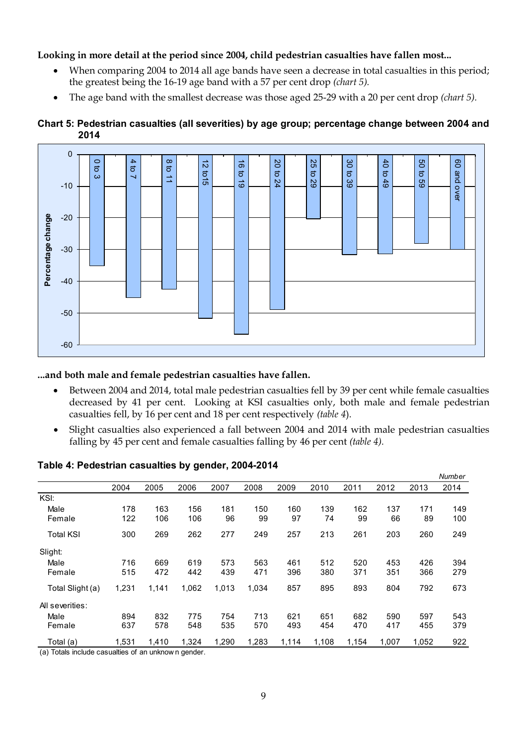#### **Looking in more detail at the period since 2004, child pedestrian casualties have fallen most...**

- When comparing 2004 to 2014 all age bands have seen a decrease in total casualties in this period; the greatest being the 16-19 age band with a 57 per cent drop *(chart 5).*
- The age band with the smallest decrease was those aged 25-29 with a 20 per cent drop *(chart 5).*



#### **Chart 5: Pedestrian casualties (all severities) by age group; percentage change between 2004 and 2014**

#### **...and both male and female pedestrian casualties have fallen.**

- Between 2004 and 2014, total male pedestrian casualties fell by 39 per cent while female casualties decreased by 41 per cent. Looking at KSI casualties only, both male and female pedestrian casualties fell, by 16 per cent and 18 per cent respectively *(table 4*).
- Slight casualties also experienced a fall between 2004 and 2014 with male pedestrian casualties falling by 45 per cent and female casualties falling by 46 per cent *(table 4).*

|                  |       |       |       |       |       |       |       |       |       |       | Number |
|------------------|-------|-------|-------|-------|-------|-------|-------|-------|-------|-------|--------|
|                  | 2004  | 2005  | 2006  | 2007  | 2008  | 2009  | 2010  | 2011  | 2012  | 2013  | 2014   |
| KSI:             |       |       |       |       |       |       |       |       |       |       |        |
| Male             | 178   | 163   | 156   | 181   | 150   | 160   | 139   | 162   | 137   | 171   | 149    |
| Female           | 122   | 106   | 106   | 96    | 99    | 97    | 74    | 99    | 66    | 89    | 100    |
| <b>Total KSI</b> | 300   | 269   | 262   | 277   | 249   | 257   | 213   | 261   | 203   | 260   | 249    |
| Slight:          |       |       |       |       |       |       |       |       |       |       |        |
| Male             | 716   | 669   | 619   | 573   | 563   | 461   | 512   | 520   | 453   | 426   | 394    |
| Female           | 515   | 472   | 442   | 439   | 471   | 396   | 380   | 371   | 351   | 366   | 279    |
| Total Slight (a) | 1,231 | 1,141 | 1,062 | 1,013 | 1,034 | 857   | 895   | 893   | 804   | 792   | 673    |
| All severities:  |       |       |       |       |       |       |       |       |       |       |        |
| Male             | 894   | 832   | 775   | 754   | 713   | 621   | 651   | 682   | 590   | 597   | 543    |
| Female           | 637   | 578   | 548   | 535   | 570   | 493   | 454   | 470   | 417   | 455   | 379    |
| Total (a)        | 1,531 | 1,410 | 1,324 | 1,290 | 1,283 | 1,114 | 1,108 | 1,154 | 1,007 | 1,052 | 922    |

**Table 4: Pedestrian casualties by gender, 2004-2014**

(a) Totals include casualties of an unknow n gender.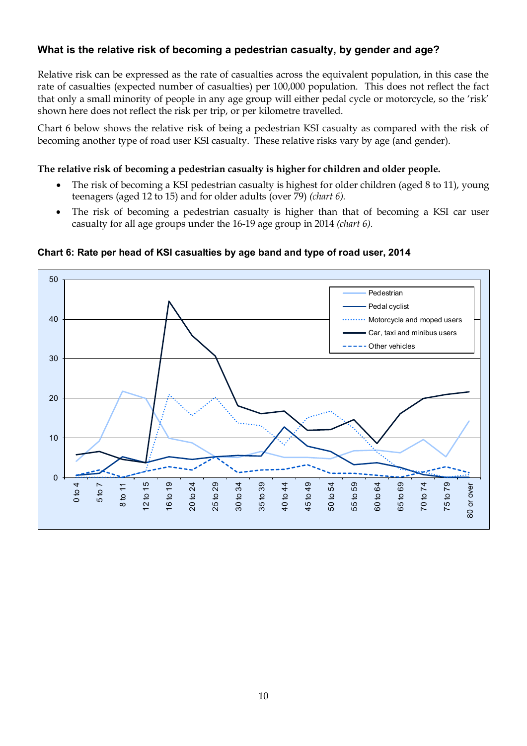# **What is the relative risk of becoming a pedestrian casualty, by gender and age?**

Relative risk can be expressed as the rate of casualties across the equivalent population, in this case the rate of casualties (expected number of casualties) per 100,000 population. This does not reflect the fact that only a small minority of people in any age group will either pedal cycle or motorcycle, so the 'risk' shown here does not reflect the risk per trip, or per kilometre travelled.

Chart 6 below shows the relative risk of being a pedestrian KSI casualty as compared with the risk of becoming another type of road user KSI casualty. These relative risks vary by age (and gender).

#### **The relative risk of becoming a pedestrian casualty is higher for children and older people.**

- The risk of becoming a KSI pedestrian casualty is highest for older children (aged 8 to 11), young teenagers (aged 12 to 15) and for older adults (over 79) *(chart 6).*
- The risk of becoming a pedestrian casualty is higher than that of becoming a KSI car user casualty for all age groups under the 16-19 age group in 2014 *(chart 6).*



#### **Chart 6: Rate per head of KSI casualties by age band and type of road user, 2014**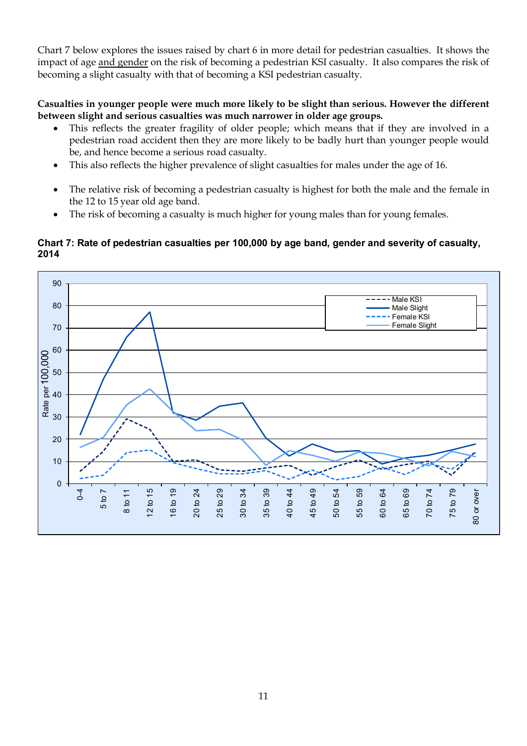Chart 7 below explores the issues raised by chart 6 in more detail for pedestrian casualties. It shows the impact of age and gender on the risk of becoming a pedestrian KSI casualty. It also compares the risk of becoming a slight casualty with that of becoming a KSI pedestrian casualty.

#### **Casualties in younger people were much more likely to be slight than serious. However the different between slight and serious casualties was much narrower in older age groups.**

- This reflects the greater fragility of older people; which means that if they are involved in a pedestrian road accident then they are more likely to be badly hurt than younger people would be, and hence become a serious road casualty.
- This also reflects the higher prevalence of slight casualties for males under the age of 16.
- The relative risk of becoming a pedestrian casualty is highest for both the male and the female in the 12 to 15 year old age band.
- The risk of becoming a casualty is much higher for young males than for young females.

#### **Chart 7: Rate of pedestrian casualties per 100,000 by age band, gender and severity of casualty, 2014**

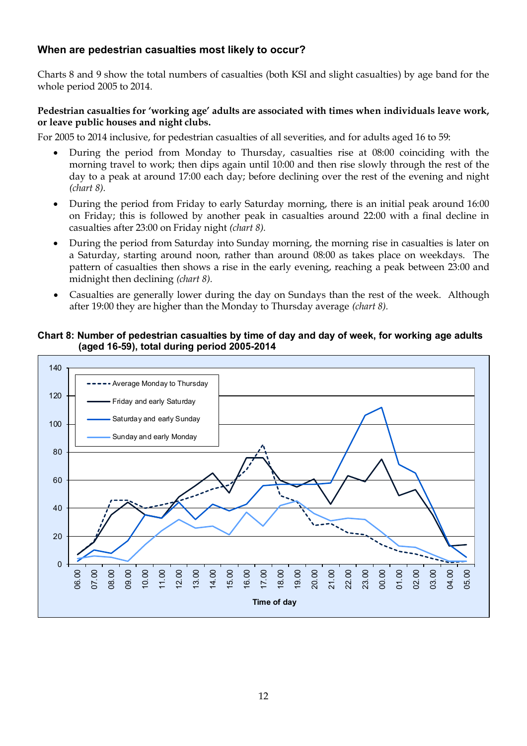# **When are pedestrian casualties most likely to occur?**

Charts 8 and 9 show the total numbers of casualties (both KSI and slight casualties) by age band for the whole period 2005 to 2014.

#### **Pedestrian casualties for 'working age' adults are associated with times when individuals leave work, or leave public houses and night clubs.**

For 2005 to 2014 inclusive, for pedestrian casualties of all severities, and for adults aged 16 to 59:

- During the period from Monday to Thursday, casualties rise at 08:00 coinciding with the morning travel to work; then dips again until 10:00 and then rise slowly through the rest of the day to a peak at around 17:00 each day; before declining over the rest of the evening and night *(chart 8).*
- During the period from Friday to early Saturday morning, there is an initial peak around 16:00 on Friday; this is followed by another peak in casualties around 22:00 with a final decline in casualties after 23:00 on Friday night *(chart 8).*
- During the period from Saturday into Sunday morning, the morning rise in casualties is later on a Saturday, starting around noon, rather than around 08:00 as takes place on weekdays. The pattern of casualties then shows a rise in the early evening, reaching a peak between 23:00 and midnight then declining *(chart 8).*
- Casualties are generally lower during the day on Sundays than the rest of the week. Although after 19:00 they are higher than the Monday to Thursday average *(chart 8).*

#### **Chart 8: Number of pedestrian casualties by time of day and day of week, for working age adults (aged 16-59), total during period 2005-2014**

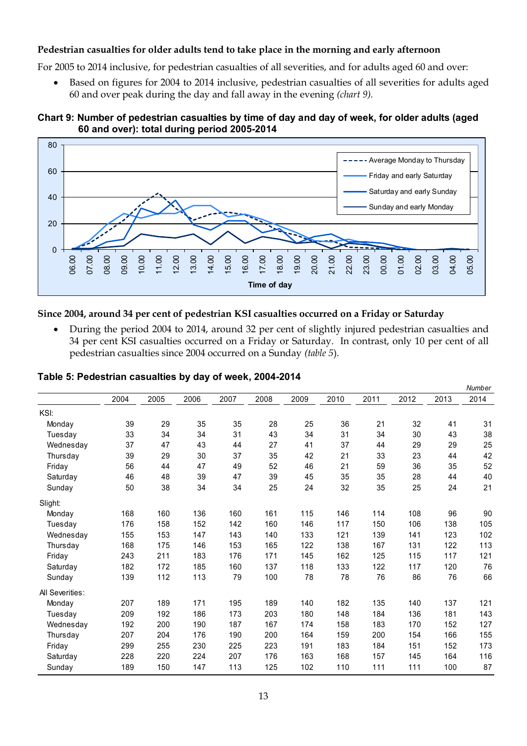#### **Pedestrian casualties for older adults tend to take place in the morning and early afternoon**

For 2005 to 2014 inclusive, for pedestrian casualties of all severities, and for adults aged 60 and over:

 Based on figures for 2004 to 2014 inclusive, pedestrian casualties of all severities for adults aged 60 and over peak during the day and fall away in the evening *(chart 9).*

# **Chart 9: Number of pedestrian casualties by time of day and day of week, for older adults (aged 60 and over): total during period 2005-2014** 1**a**<br>80



#### **Since 2004, around 34 per cent of pedestrian KSI casualties occurred on a Friday or Saturday**

 During the period 2004 to 2014, around 32 per cent of slightly injured pedestrian casualties and 34 per cent KSI casualties occurred on a Friday or Saturday. In contrast, only 10 per cent of all pedestrian casualties since 2004 occurred on a Sunday *(table 5*).

|                 | 2004 | 2005 | 2006 | 2007 | 2008 | 2009 | 2010 | 2011 | 2012 | 2013 | 2014 |
|-----------------|------|------|------|------|------|------|------|------|------|------|------|
|                 |      |      |      |      |      |      |      |      |      |      |      |
| KSI:            |      |      |      |      |      |      |      |      |      |      |      |
| Monday          | 39   | 29   | 35   | 35   | 28   | 25   | 36   | 21   | 32   | 41   | 31   |
| Tuesday         | 33   | 34   | 34   | 31   | 43   | 34   | 31   | 34   | 30   | 43   | 38   |
| Wednesday       | 37   | 47   | 43   | 44   | 27   | 41   | 37   | 44   | 29   | 29   | 25   |
| Thursday        | 39   | 29   | 30   | 37   | 35   | 42   | 21   | 33   | 23   | 44   | 42   |
| Friday          | 56   | 44   | 47   | 49   | 52   | 46   | 21   | 59   | 36   | 35   | 52   |
| Saturday        | 46   | 48   | 39   | 47   | 39   | 45   | 35   | 35   | 28   | 44   | 40   |
| Sunday          | 50   | 38   | 34   | 34   | 25   | 24   | 32   | 35   | 25   | 24   | 21   |
| Slight:         |      |      |      |      |      |      |      |      |      |      |      |
| Monday          | 168  | 160  | 136  | 160  | 161  | 115  | 146  | 114  | 108  | 96   | 90   |
| Tuesday         | 176  | 158  | 152  | 142  | 160  | 146  | 117  | 150  | 106  | 138  | 105  |
| Wednesday       | 155  | 153  | 147  | 143  | 140  | 133  | 121  | 139  | 141  | 123  | 102  |
| Thursday        | 168  | 175  | 146  | 153  | 165  | 122  | 138  | 167  | 131  | 122  | 113  |
| Friday          | 243  | 211  | 183  | 176  | 171  | 145  | 162  | 125  | 115  | 117  | 121  |
| Saturday        | 182  | 172  | 185  | 160  | 137  | 118  | 133  | 122  | 117  | 120  | 76   |
| Sunday          | 139  | 112  | 113  | 79   | 100  | 78   | 78   | 76   | 86   | 76   | 66   |
| All Severities: |      |      |      |      |      |      |      |      |      |      |      |
| Monday          | 207  | 189  | 171  | 195  | 189  | 140  | 182  | 135  | 140  | 137  | 121  |
| Tuesday         | 209  | 192  | 186  | 173  | 203  | 180  | 148  | 184  | 136  | 181  | 143  |
| Wednesday       | 192  | 200  | 190  | 187  | 167  | 174  | 158  | 183  | 170  | 152  | 127  |
| Thursday        | 207  | 204  | 176  | 190  | 200  | 164  | 159  | 200  | 154  | 166  | 155  |
| Friday          | 299  | 255  | 230  | 225  | 223  | 191  | 183  | 184  | 151  | 152  | 173  |
| Saturday        | 228  | 220  | 224  | 207  | 176  | 163  | 168  | 157  | 145  | 164  | 116  |
| Sunday          | 189  | 150  | 147  | 113  | 125  | 102  | 110  | 111  | 111  | 100  | 87   |

#### **Table 5: Pedestrian casualties by day of week, 2004-2014**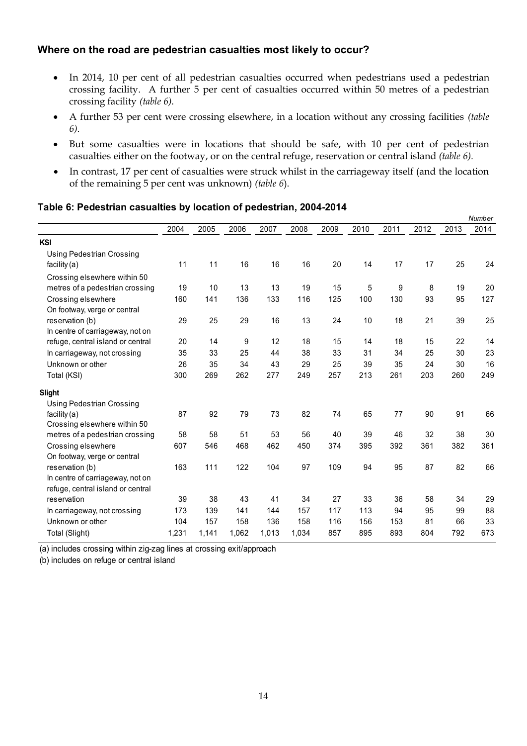# **Where on the road are pedestrian casualties most likely to occur?**

- In 2014, 10 per cent of all pedestrian casualties occurred when pedestrians used a pedestrian crossing facility. A further 5 per cent of casualties occurred within 50 metres of a pedestrian crossing facility *(table 6).*
- A further 53 per cent were crossing elsewhere, in a location without any crossing facilities *(table 6)*.
- But some casualties were in locations that should be safe, with 10 per cent of pedestrian casualties either on the footway, or on the central refuge, reservation or central island *(table 6).*
- In contrast, 17 per cent of casualties were struck whilst in the carriageway itself (and the location of the remaining 5 per cent was unknown) *(table 6*).

#### **Table 6: Pedestrian casualties by location of pedestrian, 2004-2014**

|      |                                              |                                                    |                                                   |                                              |                                                   |                                            |                                                 |                                          |                                               | Number                                  |
|------|----------------------------------------------|----------------------------------------------------|---------------------------------------------------|----------------------------------------------|---------------------------------------------------|--------------------------------------------|-------------------------------------------------|------------------------------------------|-----------------------------------------------|-----------------------------------------|
| 2004 | 2005                                         | 2006                                               | 2007                                              | 2008                                         | 2009                                              | 2010                                       | 2011                                            | 2012                                     | 2013                                          | 2014                                    |
|      |                                              |                                                    |                                                   |                                              |                                                   |                                            |                                                 |                                          |                                               |                                         |
|      |                                              |                                                    |                                                   |                                              |                                                   |                                            |                                                 |                                          |                                               |                                         |
| 11   | 11                                           | 16                                                 | 16                                                | 16                                           | 20                                                | 14                                         | 17                                              | 17                                       | 25                                            | 24                                      |
|      |                                              |                                                    |                                                   |                                              |                                                   |                                            |                                                 |                                          |                                               |                                         |
| 19   | 10                                           | 13                                                 | 13                                                | 19                                           | 15                                                | 5                                          | 9                                               | 8                                        | 19                                            | 20                                      |
| 160  | 141                                          | 136                                                | 133                                               | 116                                          | 125                                               | 100                                        | 130                                             | 93                                       | 95                                            | 127                                     |
|      |                                              |                                                    |                                                   |                                              |                                                   |                                            |                                                 |                                          |                                               |                                         |
| 29   |                                              |                                                    | 16                                                |                                              | 24                                                |                                            | 18                                              |                                          | 39                                            | 25                                      |
|      |                                              |                                                    |                                                   |                                              |                                                   |                                            |                                                 |                                          |                                               |                                         |
|      |                                              |                                                    |                                                   |                                              |                                                   |                                            |                                                 |                                          |                                               | 14                                      |
|      |                                              |                                                    |                                                   |                                              |                                                   |                                            |                                                 |                                          |                                               | 23                                      |
| 26   | 35                                           | 34                                                 | 43                                                | 29                                           | 25                                                | 39                                         | 35                                              | 24                                       | 30                                            | 16                                      |
| 300  | 269                                          | 262                                                | 277                                               | 249                                          | 257                                               | 213                                        | 261                                             | 203                                      | 260                                           | 249                                     |
|      |                                              |                                                    |                                                   |                                              |                                                   |                                            |                                                 |                                          |                                               |                                         |
|      |                                              |                                                    |                                                   |                                              |                                                   |                                            |                                                 |                                          |                                               |                                         |
| 87   | 92                                           | 79                                                 | 73                                                | 82                                           | 74                                                | 65                                         | 77                                              | 90                                       | 91                                            | 66                                      |
|      |                                              |                                                    |                                                   |                                              |                                                   |                                            |                                                 |                                          |                                               |                                         |
| 58   | 58                                           | 51                                                 | 53                                                | 56                                           | 40                                                | 39                                         | 46                                              | 32                                       | 38                                            | 30                                      |
| 607  | 546                                          | 468                                                | 462                                               | 450                                          | 374                                               | 395                                        | 392                                             | 361                                      | 382                                           | 361                                     |
|      |                                              |                                                    |                                                   |                                              |                                                   |                                            |                                                 |                                          |                                               |                                         |
|      |                                              |                                                    |                                                   |                                              |                                                   |                                            |                                                 |                                          |                                               | 66                                      |
|      |                                              |                                                    |                                                   |                                              |                                                   |                                            |                                                 |                                          |                                               |                                         |
|      |                                              |                                                    |                                                   |                                              |                                                   |                                            |                                                 |                                          |                                               |                                         |
|      |                                              |                                                    |                                                   |                                              |                                                   |                                            |                                                 |                                          |                                               | 29                                      |
|      |                                              |                                                    |                                                   |                                              |                                                   |                                            |                                                 |                                          |                                               | 88                                      |
|      |                                              |                                                    |                                                   |                                              |                                                   |                                            |                                                 |                                          |                                               | 33                                      |
|      |                                              |                                                    |                                                   |                                              |                                                   |                                            |                                                 |                                          |                                               | 673                                     |
|      | 20<br>35<br>163<br>39<br>173<br>104<br>1,231 | 25<br>14<br>33<br>111<br>38<br>139<br>157<br>1,141 | 29<br>9<br>25<br>122<br>43<br>141<br>158<br>1,062 | 12<br>44<br>104<br>41<br>144<br>136<br>1,013 | 13<br>18<br>38<br>97<br>34<br>157<br>158<br>1,034 | 15<br>33<br>109<br>27<br>117<br>116<br>857 | 10<br>14<br>31<br>94<br>33<br>113<br>156<br>895 | 18<br>34<br>95<br>36<br>94<br>153<br>893 | 21<br>15<br>25<br>87<br>58<br>95<br>81<br>804 | 22<br>30<br>82<br>34<br>99<br>66<br>792 |

(a) includes crossing within zig-zag lines at crossing exit/approach

(b) includes on refuge or central island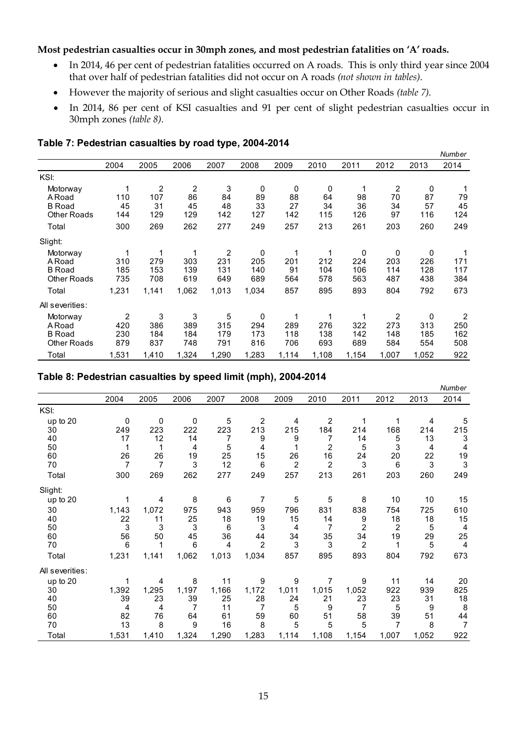#### **Most pedestrian casualties occur in 30mph zones, and most pedestrian fatalities on 'A' roads.**

- In 2014, 46 per cent of pedestrian fatalities occurred on A roads. This is only third year since 2004 that over half of pedestrian fatalities did not occur on A roads *(not shown in tables)*.
- However the majority of serious and slight casualties occur on Other Roads *(table 7)*.
- In 2014, 86 per cent of KSI casualties and 91 per cent of slight pedestrian casualties occur in 30mph zones *(table 8)*.

|                                                                   |                                     |                              |                             |                             |                                  |                             |                             |                             |                            |                             | Number                              |
|-------------------------------------------------------------------|-------------------------------------|------------------------------|-----------------------------|-----------------------------|----------------------------------|-----------------------------|-----------------------------|-----------------------------|----------------------------|-----------------------------|-------------------------------------|
|                                                                   | 2004                                | 2005                         | 2006                        | 2007                        | 2008                             | 2009                        | 2010                        | 2011                        | 2012                       | 2013                        | 2014                                |
| KSI:                                                              |                                     |                              |                             |                             |                                  |                             |                             |                             |                            |                             |                                     |
| Motorway<br>ARoad<br><b>B</b> Road<br><b>Other Roads</b><br>Total | 110<br>45<br>144<br>300             | 2<br>107<br>31<br>129<br>269 | 2<br>86<br>45<br>129<br>262 | 3<br>84<br>48<br>142<br>277 | 0<br>89<br>33<br>127<br>249      | 0<br>88<br>27<br>142<br>257 | 0<br>64<br>34<br>115<br>213 | 1<br>98<br>36<br>126<br>261 | 2<br>70<br>34<br>97<br>203 | 0<br>87<br>57<br>116<br>260 | 79<br>45<br>124<br>249              |
| Slight:                                                           |                                     |                              |                             |                             |                                  |                             |                             |                             |                            |                             |                                     |
| Motorway<br>ARoad<br><b>B</b> Road<br><b>Other Roads</b>          | 310<br>185<br>735                   | 1<br>279<br>153<br>708       | 1<br>303<br>139<br>619      | 2<br>231<br>131<br>649      | 0<br>205<br>140<br>689           | 1<br>201<br>91<br>564       | 1<br>212<br>104<br>578      | 0<br>224<br>106<br>563      | 0<br>203<br>114<br>487     | 0<br>226<br>128<br>438      | 171<br>117<br>384                   |
| Total                                                             | 1,231                               | 1,141                        | 1,062                       | 1,013                       | 1,034                            | 857                         | 895                         | 893                         | 804                        | 792                         | 673                                 |
| All severities:                                                   |                                     |                              |                             |                             |                                  |                             |                             |                             |                            |                             |                                     |
| Motorway<br>ARoad<br><b>B</b> Road<br><b>Other Roads</b>          | $\overline{2}$<br>420<br>230<br>879 | 3<br>386<br>184<br>837       | 3<br>389<br>184<br>748      | 5<br>315<br>179<br>791      | $\mathbf 0$<br>294<br>173<br>816 | 1<br>289<br>118<br>706      | 1<br>276<br>138<br>693      | 1<br>322<br>142<br>689      | 2<br>273<br>148<br>584     | 0<br>313<br>185<br>554      | $\overline{2}$<br>250<br>162<br>508 |
| Total                                                             | 1,531                               | 1,410                        | 1,324                       | 1,290                       | 1,283                            | 1,114                       | 1,108                       | 1,154                       | 1,007                      | 1,052                       | 922                                 |

#### **Table 7: Pedestrian casualties by road type, 2004-2014**

#### **Table 8: Pedestrian casualties by speed limit (mph), 2004-2014**

|                 |                |                |       |       |                |                |                |                |                |       | $1$ vu $110$ G $1$ |  |  |
|-----------------|----------------|----------------|-------|-------|----------------|----------------|----------------|----------------|----------------|-------|--------------------|--|--|
|                 | 2004           | 2005           | 2006  | 2007  | 2008           | 2009           | 2010           | 2011           | 2012           | 2013  | 2014               |  |  |
| KSI:            |                |                |       |       |                |                |                |                |                |       |                    |  |  |
| up to 20        | 0              | 0              | 0     | 5     | $\overline{2}$ | 4              | $\overline{2}$ | 1              | 1              | 4     | 5                  |  |  |
| 30              | 249            | 223            | 222   | 223   | 213            | 215            | 184            | 214            | 168            | 214   | 215                |  |  |
| 40              | 17             | 12             | 14    |       | 9              | 9              | 7              | 14             | 5              | 13    | 3                  |  |  |
| 50              |                |                | 4     | 5     | 4              |                | 2              | 5              | 3              | 4     | 4                  |  |  |
| 60              | 26             | 26             | 19    | 25    | 15             | 26             | 16             | 24             | 20             | 22    | 19                 |  |  |
| 70              | $\overline{7}$ | $\overline{7}$ | 3     | 12    | 6              | $\overline{2}$ | $\overline{2}$ | 3              | 6              | 3     | $\mathbf{3}$       |  |  |
| Total           | 300            | 269            | 262   | 277   | 249            | 257            | 213            | 261            | 203            | 260   | 249                |  |  |
| Slight:         |                |                |       |       |                |                |                |                |                |       |                    |  |  |
| up to 20        |                | 4              | 8     | 6     | 7              | 5              | 5              | 8              | 10             | 10    | 15                 |  |  |
| 30              | 1,143          | 1,072          | 975   | 943   | 959            | 796            | 831            | 838            | 754            | 725   | 610                |  |  |
| 40              | 22             | 11             | 25    | 18    | 19             | 15             | 14             | 9              | 18             | 18    | 15                 |  |  |
| 50              | 3              | 3              | 3     | 6     | 3              | 4              | 7              | 2              | 2              | 5     | 4                  |  |  |
| 60              | 56             | 50             | 45    | 36    | 44             | 34             | 35             | 34             | 19             | 29    | 25                 |  |  |
| 70              | 6              |                | 6     | 4     | $\overline{2}$ | 3              | 3              | $\overline{2}$ | 1              | 5     | $\overline{4}$     |  |  |
| Total           | 1,231          | 1,141          | 1,062 | 1,013 | 1,034          | 857            | 895            | 893            | 804            | 792   | 673                |  |  |
| All severities: |                |                |       |       |                |                |                |                |                |       |                    |  |  |
| up to 20        |                | 4              | 8     | 11    | 9              | 9              | 7              | 9              | 11             | 14    | 20                 |  |  |
| 30              | 1,392          | 1,295          | 1,197 | 1,166 | 1,172          | 1,011          | 1,015          | 1,052          | 922            | 939   | 825                |  |  |
| 40              | 39             | 23             | 39    | 25    | 28             | 24             | 21             | 23             | 23             | 31    | 18                 |  |  |
| 50              | 4              | 4              | 7     | 11    |                | 5              | 9              | 7              | 5              | 9     | 8                  |  |  |
| 60              | 82             | 76             | 64    | 61    | 59             | 60             | 51             | 58             | 39             | 51    | 44                 |  |  |
| 70              | 13             | 8              | 9     | 16    | 8              | 5              | 5              | 5              | $\overline{7}$ | 8     | $\overline{7}$     |  |  |
| Total           | 1,531          | 1,410          | 1,324 | 1,290 | 1,283          | 1,114          | 1,108          | 1,154          | 1,007          | 1,052 | 922                |  |  |

*Number*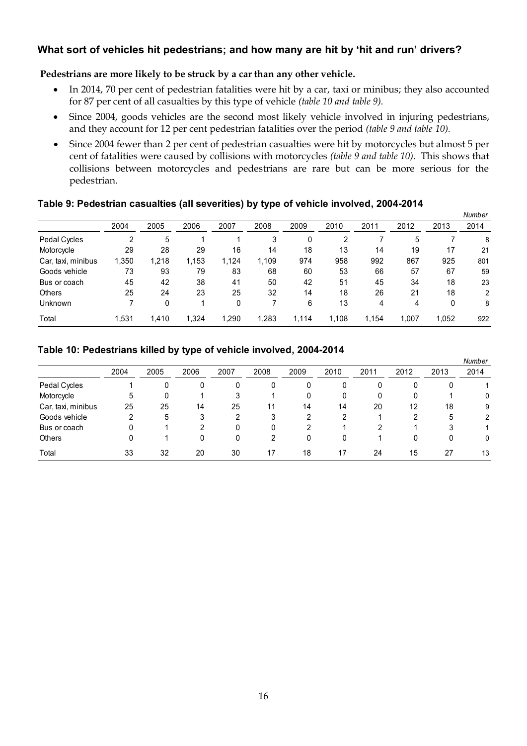# **What sort of vehicles hit pedestrians; and how many are hit by 'hit and run' drivers?**

#### **Pedestrians are more likely to be struck by a car than any other vehicle.**

- In 2014, 70 per cent of pedestrian fatalities were hit by a car, taxi or minibus; they also accounted for 87 per cent of all casualties by this type of vehicle *(table 10 and table 9).*
- Since 2004, goods vehicles are the second most likely vehicle involved in injuring pedestrians, and they account for 12 per cent pedestrian fatalities over the period *(table 9 and table 10).*
- Since 2004 fewer than 2 per cent of pedestrian casualties were hit by motorcycles but almost 5 per cent of fatalities were caused by collisions with motorcycles *(table 9 and table 10).* This shows that collisions between motorcycles and pedestrians are rare but can be more serious for the pedestrian.

#### **Table 9: Pedestrian casualties (all severities) by type of vehicle involved, 2004-2014**

|                    |       |       |       |        | - -<br>-77 |       |       |       |       |       | Number |
|--------------------|-------|-------|-------|--------|------------|-------|-------|-------|-------|-------|--------|
|                    | 2004  | 2005  | 2006  | 2007   | 2008       | 2009  | 2010  | 2011  | 2012  | 2013  | 2014   |
| Pedal Cycles       | າ     | 5     |       |        | 3          |       | 2     |       | 5     |       | 8      |
| Motorcycle         | 29    | 28    | 29    | 16     | 14         | 18    | 13    | 14    | 19    | 17    | 21     |
| Car, taxi, minibus | 1,350 | 1.218 | 1,153 | 1.124  | 1.109      | 974   | 958   | 992   | 867   | 925   | 801    |
| Goods vehicle      | 73    | 93    | 79    | 83     | 68         | 60    | 53    | 66    | 57    | 67    | 59     |
| Bus or coach       | 45    | 42    | 38    | 41     | 50         | 42    | 51    | 45    | 34    | 18    | 23     |
| Others             | 25    | 24    | 23    | 25     | 32         | 14    | 18    | 26    | 21    | 18    | 2      |
| Unknown            |       | 0     |       | 0      |            | 6     | 13    | 4     | 4     | 0     | 8      |
| Total              | 1,531 | 1,410 | 1,324 | 290, ا | ,283       | 1,114 | 1,108 | 1.154 | 1,007 | 1,052 | 922    |

### **Table 10: Pedestrians killed by type of vehicle involved, 2004-2014**

|                    |        |      |      |      |      |      |      |      |      |      | Number         |
|--------------------|--------|------|------|------|------|------|------|------|------|------|----------------|
|                    | 2004   | 2005 | 2006 | 2007 | 2008 | 2009 | 2010 | 2011 | 2012 | 2013 | 2014           |
| Pedal Cycles       |        |      | 0    | 0    |      | 0    | 0    | 0    | 0    | 0    |                |
| Motorcycle         | 5      | 0    |      | 3    |      | 0    | 0    | 0    | 0    |      | 0              |
| Car, taxi, minibus | 25     | 25   | 14   | 25   | 11   | 14   | 14   | 20   | 12   | 18   | 9              |
| Goods vehicle      | າ<br>∠ | 5    | 3    | ົ    | 3    | 2    | 2    |      | 2    | 5    | $\overline{2}$ |
| Bus or coach       |        |      | າ    | 0    |      | 2    |      | 2    |      | 3    |                |
| <b>Others</b>      |        |      | 0    | 0    | 2    | 0    | 0    |      | 0    | 0    | $\mathbf{0}$   |
| Total              | 33     | 32   | 20   | 30   | 17   | 18   | 17   | 24   | 15   | 27   | 13             |
|                    |        |      |      |      |      |      |      |      |      |      |                |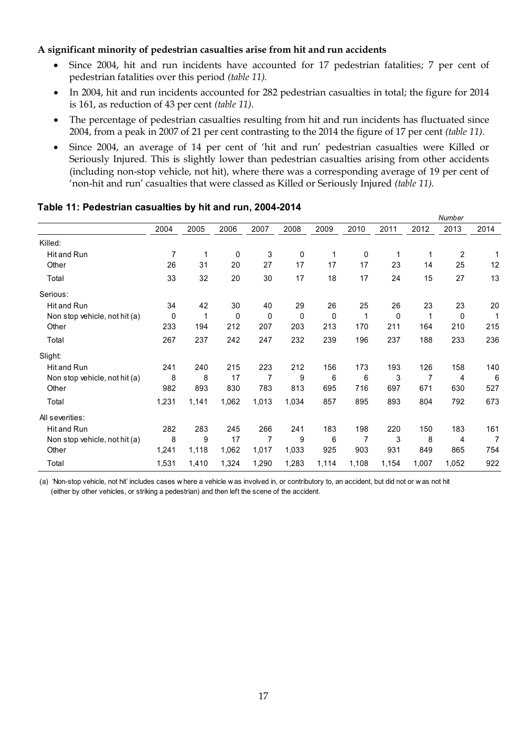#### **A significant minority of pedestrian casualties arise from hit and run accidents**

- Since 2004, hit and run incidents have accounted for 17 pedestrian fatalities; 7 per cent of pedestrian fatalities over this period *(table 11).*
- In 2004, hit and run incidents accounted for 282 pedestrian casualties in total; the figure for 2014 is 161, as reduction of 43 per cent *(table 11)*.
- The percentage of pedestrian casualties resulting from hit and run incidents has fluctuated since 2004, from a peak in 2007 of 21 per cent contrasting to the 2014 the figure of 17 per cent *(table 11).*
- Since 2004, an average of 14 per cent of 'hit and run' pedestrian casualties were Killed or Seriously Injured. This is slightly lower than pedestrian casualties arising from other accidents (including non-stop vehicle, not hit), where there was a corresponding average of 19 per cent of 'non-hit and run' casualties that were classed as Killed or Seriously Injured *(table 11).*

|                               |       |       |       |       |       |       |       |       |       | Number         |      |
|-------------------------------|-------|-------|-------|-------|-------|-------|-------|-------|-------|----------------|------|
|                               | 2004  | 2005  | 2006  | 2007  | 2008  | 2009  | 2010  | 2011  | 2012  | 2013           | 2014 |
| Killed:                       |       |       |       |       |       |       |       |       |       |                |      |
| Hit and Run                   | 7     | 1     | 0     | 3     | 0     | 1     | 0     | 1     | 1     | $\overline{c}$ | 1    |
| Other                         | 26    | 31    | 20    | 27    | 17    | 17    | 17    | 23    | 14    | 25             | 12   |
| Total                         | 33    | 32    | 20    | 30    | 17    | 18    | 17    | 24    | 15    | 27             | 13   |
| Serious:                      |       |       |       |       |       |       |       |       |       |                |      |
| Hit and Run                   | 34    | 42    | 30    | 40    | 29    | 26    | 25    | 26    | 23    | 23             | 20   |
| Non stop vehicle, not hit (a) | 0     | 1     | 0     | 0     | 0     | 0     | 1     | 0     | 1     | 0              | 1    |
| Other                         | 233   | 194   | 212   | 207   | 203   | 213   | 170   | 211   | 164   | 210            | 215  |
| Total                         | 267   | 237   | 242   | 247   | 232   | 239   | 196   | 237   | 188   | 233            | 236  |
| Slight:                       |       |       |       |       |       |       |       |       |       |                |      |
| Hit and Run                   | 241   | 240   | 215   | 223   | 212   | 156   | 173   | 193   | 126   | 158            | 140  |
| Non stop vehicle, not hit (a) | 8     | 8     | 17    | 7     | 9     | 6     | 6     | 3     | 7     | 4              | 6    |
| Other                         | 982   | 893   | 830   | 783   | 813   | 695   | 716   | 697   | 671   | 630            | 527  |
| Total                         | 1,231 | 1,141 | 1,062 | 1,013 | 1,034 | 857   | 895   | 893   | 804   | 792            | 673  |
| All severities:               |       |       |       |       |       |       |       |       |       |                |      |
| Hit and Run                   | 282   | 283   | 245   | 266   | 241   | 183   | 198   | 220   | 150   | 183            | 161  |
| Non stop vehicle, not hit (a) | 8     | 9     | 17    | 7     | 9     | 6     | 7     | 3     | 8     | 4              | 7    |
| Other                         | 1,241 | 1,118 | 1,062 | 1,017 | 1,033 | 925   | 903   | 931   | 849   | 865            | 754  |
| Total                         | 1,531 | 1,410 | 1,324 | 1,290 | 1,283 | 1,114 | 1,108 | 1,154 | 1,007 | 1,052          | 922  |

#### **Table 11: Pedestrian casualties by hit and run, 2004-2014**

(a) 'Non-stop vehicle, not hit' includes cases w here a vehicle w as involved in, or contributory to, an accident, but did not or w as not hit (either by other vehicles, or striking a pedestrian) and then left the scene of the accident.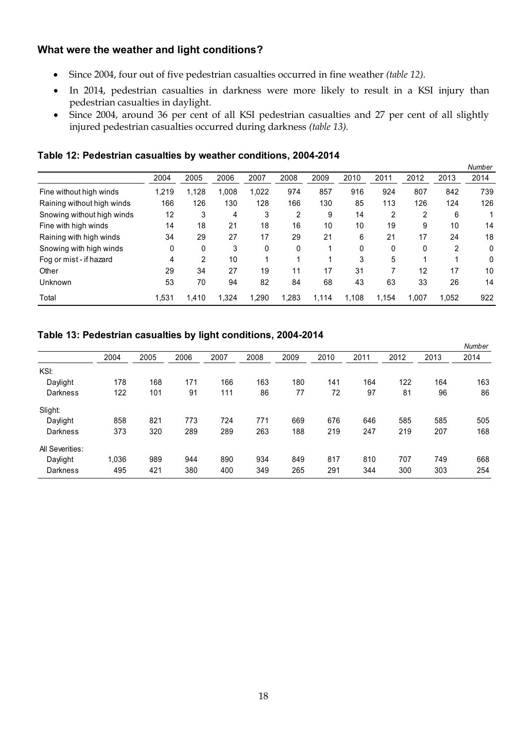# **What were the weather and light conditions?**

- Since 2004, four out of five pedestrian casualties occurred in fine weather *(table 12).*
- In 2014, pedestrian casualties in darkness were more likely to result in a KSI injury than pedestrian casualties in daylight.
- Since 2004, around 36 per cent of all KSI pedestrian casualties and 27 per cent of all slightly injured pedestrian casualties occurred during darkness *(table 13).*

| Table 12: Pedestrian casualties by weather conditions, 2004-2014 |  |  |
|------------------------------------------------------------------|--|--|
|------------------------------------------------------------------|--|--|

|                            |       | -              |        |              |       |       |       |                |       |       | Number |
|----------------------------|-------|----------------|--------|--------------|-------|-------|-------|----------------|-------|-------|--------|
|                            | 2004  | 2005           | 2006   | 2007         | 2008  | 2009  | 2010  | 2011           | 2012  | 2013  | 2014   |
| Fine without high winds    | 1,219 | 1,128          | 800, I | 1,022        | 974   | 857   | 916   | 924            | 807   | 842   | 739    |
| Raining without high winds | 166   | 126            | 130    | 128          | 166   | 130   | 85    | 113            | 126   | 124   | 126    |
| Snowing without high winds | 12    | 3              | 4      | 3            | 2     | 9     | 14    | $\overline{2}$ | 2     | 6     |        |
| Fine with high winds       | 14    | 18             | 21     | 18           | 16    | 10    | 10    | 19             | 9     | 10    | 14     |
| Raining with high winds    | 34    | 29             | 27     | 17           | 29    | 21    | 6     | 21             | 17    | 24    | 18     |
| Snowing with high winds    | 0     | $\mathbf{0}$   | 3      | $\mathbf{0}$ | 0     |       | 0     | 0              | 0     | 2     | 0      |
| Fog or mist - if hazard    | 4     | $\overline{2}$ | 10     |              |       |       | 3     | 5              |       |       | 0      |
| Other                      | 29    | 34             | 27     | 19           | 11    | 17    | 31    |                | 12    | 17    | 10     |
| Unknown                    | 53    | 70             | 94     | 82           | 84    | 68    | 43    | 63             | 33    | 26    | 14     |
| Total                      | 1,531 | .410           | 1.324  | 1.290        | 1.283 | 1,114 | 1.108 | 1.154          | 1.007 | 1,052 | 922    |

#### **Table 13: Pedestrian casualties by light conditions, 2004-2014**

|                 |       |      |      |      |      |      |      |      |      |      | Number |
|-----------------|-------|------|------|------|------|------|------|------|------|------|--------|
|                 | 2004  | 2005 | 2006 | 2007 | 2008 | 2009 | 2010 | 2011 | 2012 | 2013 | 2014   |
| KSI:            |       |      |      |      |      |      |      |      |      |      |        |
| Daylight        | 178   | 168  | 171  | 166  | 163  | 180  | 141  | 164  | 122  | 164  | 163    |
| Darkness        | 122   | 101  | 91   | 111  | 86   | 77   | 72   | 97   | 81   | 96   | 86     |
| Slight:         |       |      |      |      |      |      |      |      |      |      |        |
| Daylight        | 858   | 821  | 773  | 724  | 771  | 669  | 676  | 646  | 585  | 585  | 505    |
| Darkness        | 373   | 320  | 289  | 289  | 263  | 188  | 219  | 247  | 219  | 207  | 168    |
| All Severities: |       |      |      |      |      |      |      |      |      |      |        |
| Daylight        | 1,036 | 989  | 944  | 890  | 934  | 849  | 817  | 810  | 707  | 749  | 668    |
| Darkness        | 495   | 421  | 380  | 400  | 349  | 265  | 291  | 344  | 300  | 303  | 254    |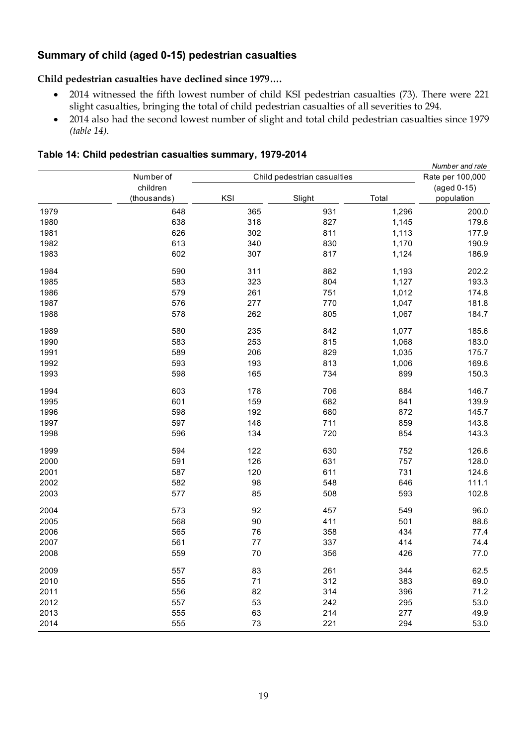# **Summary of child (aged 0-15) pedestrian casualties**

#### **Child pedestrian casualties have declined since 1979….**

- 2014 witnessed the fifth lowest number of child KSI pedestrian casualties (73). There were 221 slight casualties, bringing the total of child pedestrian casualties of all severities to 294.
- 2014 also had the second lowest number of slight and total child pedestrian casualties since 1979 *(table 14)*.

#### **Table 14: Child pedestrian casualties summary, 1979-2014**

|      |             |     | Number and rate             |       |                  |  |  |
|------|-------------|-----|-----------------------------|-------|------------------|--|--|
|      | Number of   |     | Child pedestrian casualties |       | Rate per 100,000 |  |  |
|      | children    |     |                             |       | (aged 0-15)      |  |  |
|      | (thousands) | KSI | Slight                      | Total | population       |  |  |
| 1979 | 648         | 365 | 931                         | 1,296 | 200.0            |  |  |
| 1980 | 638         | 318 | 827                         | 1,145 | 179.6            |  |  |
| 1981 | 626         | 302 | 811                         | 1,113 | 177.9            |  |  |
| 1982 | 613         | 340 | 830                         | 1,170 | 190.9            |  |  |
| 1983 | 602         | 307 | 817                         | 1,124 | 186.9            |  |  |
| 1984 | 590         | 311 | 882                         | 1,193 | 202.2            |  |  |
| 1985 | 583         | 323 | 804                         | 1,127 | 193.3            |  |  |
| 1986 | 579         | 261 | 751                         | 1,012 | 174.8            |  |  |
| 1987 | 576         | 277 | 770                         | 1,047 | 181.8            |  |  |
| 1988 | 578         | 262 | 805                         | 1,067 | 184.7            |  |  |
| 1989 | 580         | 235 | 842                         | 1,077 | 185.6            |  |  |
| 1990 | 583         | 253 | 815                         | 1,068 | 183.0            |  |  |
| 1991 | 589         | 206 | 829                         | 1,035 | 175.7            |  |  |
| 1992 | 593         | 193 | 813                         | 1,006 | 169.6            |  |  |
| 1993 | 598         | 165 | 734                         | 899   | 150.3            |  |  |
| 1994 | 603         | 178 | 706                         | 884   | 146.7            |  |  |
| 1995 | 601         | 159 | 682                         | 841   | 139.9            |  |  |
| 1996 | 598         | 192 | 680                         | 872   | 145.7            |  |  |
| 1997 | 597         | 148 | 711                         | 859   | 143.8            |  |  |
| 1998 | 596         | 134 | 720                         | 854   | 143.3            |  |  |
| 1999 | 594         | 122 | 630                         | 752   | 126.6            |  |  |
| 2000 | 591         | 126 | 631                         | 757   | 128.0            |  |  |
| 2001 | 587         | 120 | 611                         | 731   | 124.6            |  |  |
| 2002 | 582         | 98  | 548                         | 646   | 111.1            |  |  |
| 2003 | 577         | 85  | 508                         | 593   | 102.8            |  |  |
| 2004 | 573         | 92  | 457                         | 549   | 96.0             |  |  |
| 2005 | 568         | 90  | 411                         | 501   | 88.6             |  |  |
| 2006 | 565         | 76  | 358                         | 434   | 77.4             |  |  |
| 2007 | 561         | 77  | 337                         | 414   | 74.4             |  |  |
| 2008 | 559         | 70  | 356                         | 426   | 77.0             |  |  |
| 2009 | 557         | 83  | 261                         | 344   | 62.5             |  |  |
| 2010 | 555         | 71  | 312                         | 383   | 69.0             |  |  |
| 2011 | 556         | 82  | 314                         | 396   | 71.2             |  |  |
| 2012 | 557         | 53  | 242                         | 295   | 53.0             |  |  |
| 2013 | 555         | 63  | 214                         | 277   | 49.9             |  |  |
| 2014 | 555         | 73  | 221                         | 294   | 53.0             |  |  |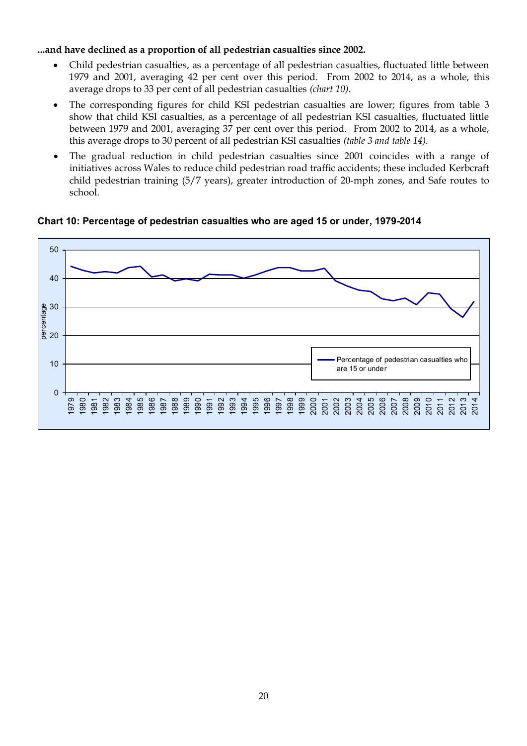#### **...and have declined as a proportion of all pedestrian casualties since 2002.**

- Child pedestrian casualties, as a percentage of all pedestrian casualties, fluctuated little between 1979 and 2001, averaging 42 per cent over this period. From 2002 to 2014, as a whole, this average drops to 33 per cent of all pedestrian casualties *(chart 10).*
- The corresponding figures for child KSI pedestrian casualties are lower; figures from table 3 show that child KSI casualties, as a percentage of all pedestrian KSI casualties, fluctuated little between 1979 and 2001, averaging 37 per cent over this period. From 2002 to 2014, as a whole, this average drops to 30 percent of all pedestrian KSI casualties *(table 3 and table 14).*
- The gradual reduction in child pedestrian casualties since 2001 coincides with a range of initiatives across Wales to reduce child pedestrian road traffic accidents; these included Kerbcraft child pedestrian training (5/7 years), greater introduction of 20-mph zones, and Safe routes to school.

**Chart 10: Percentage of pedestrian casualties who are aged 15 or under, 1979-2014**

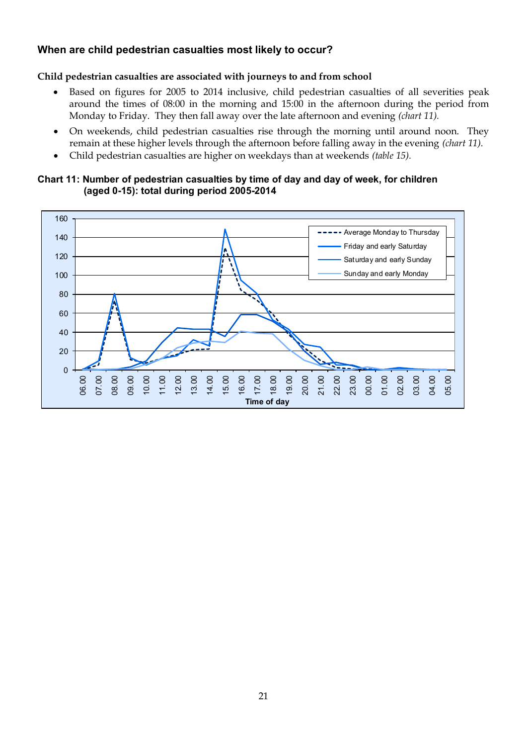# **When are child pedestrian casualties most likely to occur?**

#### **Child pedestrian casualties are associated with journeys to and from school**

- Based on figures for 2005 to 2014 inclusive, child pedestrian casualties of all severities peak around the times of 08:00 in the morning and 15:00 in the afternoon during the period from Monday to Friday. They then fall away over the late afternoon and evening *(chart 11).*
- On weekends, child pedestrian casualties rise through the morning until around noon. They remain at these higher levels through the afternoon before falling away in the evening *(chart 11).*
- Child pedestrian casualties are higher on weekdays than at weekends *(table 15).*

#### **Chart 11: Number of pedestrian casualties by time of day and day of week, for children (aged 0-15): total during period 2005-2014**

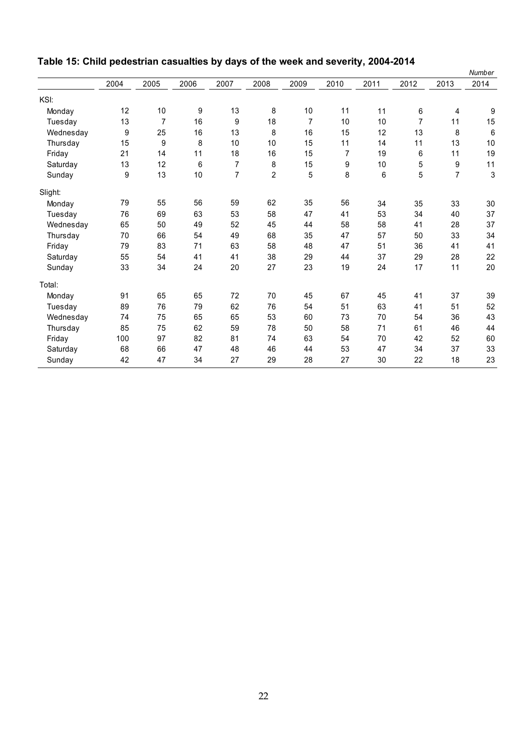|           |      |                |      |                |                |      |      |         |                |                | Number                    |
|-----------|------|----------------|------|----------------|----------------|------|------|---------|----------------|----------------|---------------------------|
|           | 2004 | 2005           | 2006 | 2007           | 2008           | 2009 | 2010 | 2011    | 2012           | 2013           | 2014                      |
| KSI:      |      |                |      |                |                |      |      |         |                |                |                           |
| Monday    | 12   | 10             | 9    | 13             | 8              | 10   | 11   | 11      | $\,6\,$        | 4              | 9                         |
| Tuesday   | 13   | $\overline{7}$ | 16   | 9              | 18             | 7    | 10   | 10      | $\overline{7}$ | 11             | 15                        |
| Wednesday | 9    | 25             | 16   | 13             | 8              | 16   | 15   | 12      | 13             | 8              | 6                         |
| Thursday  | 15   | 9              | 8    | 10             | 10             | 15   | 11   | 14      | 11             | 13             | 10                        |
| Friday    | 21   | 14             | 11   | 18             | 16             | 15   | 7    | 19      | 6              | 11             | 19                        |
| Saturday  | 13   | 12             | 6    | $\overline{7}$ | 8              | 15   | 9    | 10      | 5              | 9              | 11                        |
| Sunday    | 9    | 13             | 10   | $\overline{7}$ | $\overline{2}$ | 5    | 8    | $\,6\,$ | 5              | $\overline{7}$ | $\ensuremath{\mathsf{3}}$ |
| Slight:   |      |                |      |                |                |      |      |         |                |                |                           |
| Monday    | 79   | 55             | 56   | 59             | 62             | 35   | 56   | 34      | 35             | 33             | 30                        |
| Tuesday   | 76   | 69             | 63   | 53             | 58             | 47   | 41   | 53      | 34             | 40             | 37                        |
| Wednesday | 65   | 50             | 49   | 52             | 45             | 44   | 58   | 58      | 41             | 28             | 37                        |
| Thursday  | 70   | 66             | 54   | 49             | 68             | 35   | 47   | 57      | 50             | 33             | 34                        |
| Friday    | 79   | 83             | 71   | 63             | 58             | 48   | 47   | 51      | 36             | 41             | 41                        |
| Saturday  | 55   | 54             | 41   | 41             | 38             | 29   | 44   | 37      | 29             | 28             | 22                        |
| Sunday    | 33   | 34             | 24   | 20             | 27             | 23   | 19   | 24      | 17             | 11             | 20                        |
| Total:    |      |                |      |                |                |      |      |         |                |                |                           |
| Monday    | 91   | 65             | 65   | 72             | 70             | 45   | 67   | 45      | 41             | 37             | 39                        |
| Tuesday   | 89   | 76             | 79   | 62             | 76             | 54   | 51   | 63      | 41             | 51             | 52                        |
| Wednesday | 74   | 75             | 65   | 65             | 53             | 60   | 73   | 70      | 54             | 36             | 43                        |
| Thursday  | 85   | 75             | 62   | 59             | 78             | 50   | 58   | 71      | 61             | 46             | 44                        |
| Friday    | 100  | 97             | 82   | 81             | 74             | 63   | 54   | 70      | 42             | 52             | 60                        |
| Saturday  | 68   | 66             | 47   | 48             | 46             | 44   | 53   | 47      | 34             | 37             | 33                        |
| Sunday    | 42   | 47             | 34   | 27             | 29             | 28   | 27   | 30      | 22             | 18             | 23                        |

# **Table 15: Child pedestrian casualties by days of the week and severity, 2004-2014**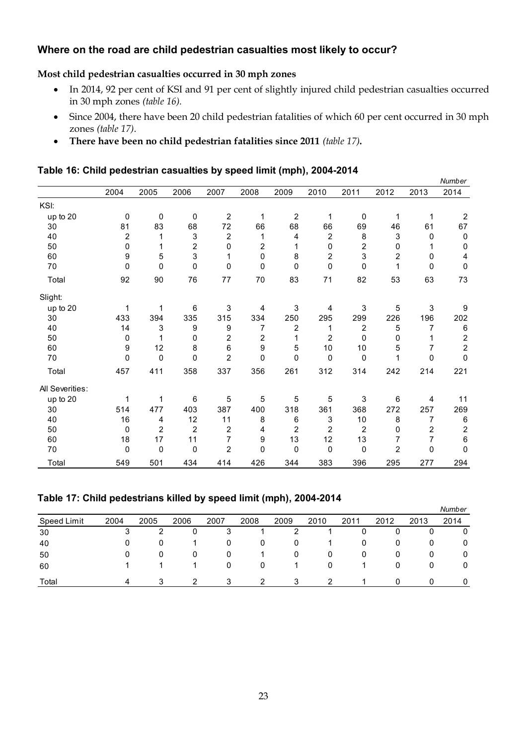# **Where on the road are child pedestrian casualties most likely to occur?**

#### **Most child pedestrian casualties occurred in 30 mph zones**

- In 2014, 92 per cent of KSI and 91 per cent of slightly injured child pedestrian casualties occurred in 30 mph zones *(table 16).*
- Since 2004, there have been 20 child pedestrian fatalities of which 60 per cent occurred in 30 mph zones *(table 17)*.
- **There have been no child pedestrian fatalities since 2011** *(table 17)***.**

|  | Table 16: Child pedestrian casualties by speed limit (mph), 2004-2014 |  |  |
|--|-----------------------------------------------------------------------|--|--|
|  |                                                                       |  |  |

|                 |              |                |                         |                |                         |                |                |                |                         |            | Number                  |
|-----------------|--------------|----------------|-------------------------|----------------|-------------------------|----------------|----------------|----------------|-------------------------|------------|-------------------------|
|                 | 2004         | 2005           | 2006                    | 2007           | 2008                    | 2009           | 2010           | 2011           | 2012                    | 2013       | 2014                    |
| KSI:            |              |                |                         |                |                         |                |                |                |                         |            |                         |
| up to 20        | 0            | 0              | 0                       | 2              | 1                       | 2              | 1              | 0              | 1                       | 1          | $\overline{2}$          |
| 30              | 81           | 83             | 68                      | 72             | 66                      | 68             | 66             | 69             | 46                      | 61         | 67                      |
| 40              | 2            | 1              | 3                       | $\overline{2}$ | 1                       | 4              | $\overline{2}$ | 8              | 3                       | 0          | $\pmb{0}$               |
| 50              | 0            | 1              | $\overline{\mathbf{c}}$ | 0              | $\overline{2}$          | 1              | 0              | 2              | 0                       | 1          | $\mathbf 0$             |
| 60              | 9            | 5              | 3                       | 1              | $\mathbf 0$             | 8              | 2              | 3              | $\overline{\mathbf{c}}$ | 0          | 4                       |
| 70              | $\mathbf{0}$ | $\mathbf{0}$   | 0                       | 0              | $\mathbf{0}$            | $\mathbf{0}$   | 0              | 0              | 1                       | 0          | $\mathbf 0$             |
| Total           | 92           | 90             | 76                      | 77             | 70                      | 83             | 71             | 82             | 53                      | 63         | 73                      |
| Slight:         |              |                |                         |                |                         |                |                |                |                         |            |                         |
| up to 20        | $\mathbf{1}$ | 1              | 6                       | 3              | 4                       | 3              | 4              | $\mathsf 3$    | 5                       | $\sqrt{3}$ | 9                       |
| 30              | 433          | 394            | 335                     | 315            | 334                     | 250            | 295            | 299            | 226                     | 196        | 202                     |
| 40              | 14           | 3              | 9                       | 9              | 7                       | $\overline{2}$ | 1              | $\overline{2}$ | 5                       | 7          | $\,6\,$                 |
| 50              | 0            | 1              | 0                       | 2              | $\overline{\mathbf{c}}$ | 1              | 2              | 0              | 0                       |            | $\boldsymbol{2}$        |
| 60              | 9            | 12             | 8                       | 6              | 9                       | 5              | 10             | 10             | 5                       | 7          | $\overline{c}$          |
| 70              | 0            | 0              | 0                       | 2              | $\mathbf 0$             | $\mathbf{0}$   | 0              | $\mathbf 0$    | 1                       | 0          | 0                       |
| Total           | 457          | 411            | 358                     | 337            | 356                     | 261            | 312            | 314            | 242                     | 214        | 221                     |
| All Severities: |              |                |                         |                |                         |                |                |                |                         |            |                         |
| up to 20        | 1            | 1              | 6                       | 5              | 5                       | 5              | 5              | 3              | 6                       | 4          | 11                      |
| 30              | 514          | 477            | 403                     | 387            | 400                     | 318            | 361            | 368            | 272                     | 257        | 269                     |
| 40              | 16           | 4              | 12                      | 11             | 8                       | 6              | 3              | 10             | 8                       | 7          | 6                       |
| 50              | 0            | $\overline{2}$ | $\overline{2}$          | 2              | 4                       | 2              | 2              | 2              | 0                       | 2          | $\overline{\mathbf{c}}$ |
| 60              | 18           | 17             | 11                      | 7              | 9                       | 13             | 12             | 13             | 7                       | 7          | 6                       |
| 70              | 0            | 0              | 0                       | $\overline{2}$ | $\mathbf 0$             | 0              | $\mathbf 0$    | 0              | 2                       | 0          | 0                       |
| Total           | 549          | 501            | 434                     | 414            | 426                     | 344            | 383            | 396            | 295                     | 277        | 294                     |

| Table 17: Child pedestrians killed by speed limit (mph), 2004-2014 |      |      |      |      |      |      |      |      |      |              |        |  |  |
|--------------------------------------------------------------------|------|------|------|------|------|------|------|------|------|--------------|--------|--|--|
|                                                                    |      |      |      |      |      |      |      |      |      |              | Number |  |  |
| Speed Limit                                                        | 2004 | 2005 | 2006 | 2007 | 2008 | 2009 | 2010 | 2011 | 2012 | 2013         | 2014   |  |  |
| 30                                                                 |      |      | 0    | 3    |      | 2    |      | 0    | 0    | 0            |        |  |  |
| 40                                                                 |      | 0    |      | 0    | 0    | 0    |      | 0    | 0    | 0            | 0      |  |  |
| 50                                                                 | 0    | 0    | 0    | 0    |      | 0    | 0    | 0    | 0    | 0            | 0      |  |  |
| 60                                                                 |      |      |      | 0    | 0    |      | 0    |      | 0    | 0            | 0      |  |  |
| Total                                                              | 4    | 3    | 2    | 3    | 2    | 3    | 2    |      | 0    | <sup>0</sup> |        |  |  |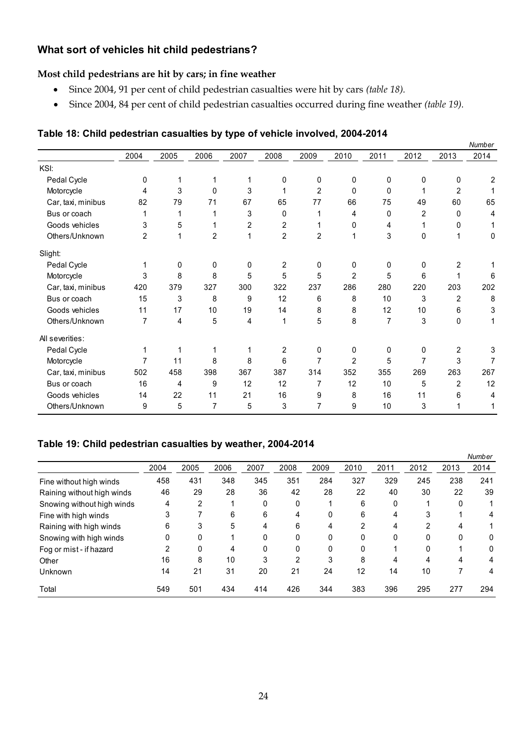# **What sort of vehicles hit child pedestrians?**

#### **Most child pedestrians are hit by cars; in fine weather**

- Since 2004, 91 per cent of child pedestrian casualties were hit by cars *(table 18).*
- Since 2004, 84 per cent of child pedestrian casualties occurred during fine weather *(table 19).*

|                    |                |      |                |              |      |                |                |      |              |                         | Number |
|--------------------|----------------|------|----------------|--------------|------|----------------|----------------|------|--------------|-------------------------|--------|
|                    | 2004           | 2005 | 2006           | 2007         | 2008 | 2009           | 2010           | 2011 | 2012         | 2013                    | 2014   |
| KSI:               |                |      |                |              |      |                |                |      |              |                         |        |
| Pedal Cycle        | 0              | 1    | 1              | 1            | 0    | 0              | 0              | 0    | $\mathbf{0}$ | 0                       | 2      |
| Motorcycle         | 4              | 3    | 0              | 3            | 1    | $\overline{2}$ | 0              | 0    |              | $\overline{2}$          |        |
| Car, taxi, minibus | 82             | 79   | 71             | 67           | 65   | 77             | 66             | 75   | 49           | 60                      | 65     |
| Bus or coach       |                | 1    | 1              | $\mathsf 3$  | 0    | 1              | 4              | 0    | 2            | $\mathbf{0}$            | 4      |
| Goods vehicles     | 3              | 5    | 1              | 2            | 2    |                | 0              | 4    |              | 0                       | 1      |
| Others/Unknown     | $\overline{2}$ | 1    | $\overline{2}$ | $\mathbf{1}$ | 2    | $\overline{2}$ | 1              | 3    | 0            | 1                       | 0      |
| Slight:            |                |      |                |              |      |                |                |      |              |                         |        |
| Pedal Cycle        |                | 0    | 0              | 0            | 2    | $\mathbf{0}$   | 0              | 0    | 0            | $\overline{c}$          |        |
| Motorcycle         | 3              | 8    | 8              | 5            | 5    | 5              | $\overline{2}$ | 5    | 6            |                         | 6      |
| Car, taxi, minibus | 420            | 379  | 327            | 300          | 322  | 237            | 286            | 280  | 220          | 203                     | 202    |
| Bus or coach       | 15             | 3    | 8              | 9            | 12   | 6              | 8              | 10   | 3            | $\overline{2}$          | 8      |
| Goods vehicles     | 11             | 17   | 10             | 19           | 14   | 8              | 8              | 12   | 10           | 6                       | 3      |
| Others/Unknown     | 7              | 4    | 5              | 4            | 1    | 5              | 8              | 7    | 3            | 0                       | 1      |
| All severities:    |                |      |                |              |      |                |                |      |              |                         |        |
| Pedal Cycle        |                | 1    |                | 1            | 2    | 0              | 0              | 0    | 0            | $\overline{\mathbf{c}}$ | 3      |
| Motorcycle         | 7              | 11   | 8              | 8            | 6    | 7              | $\overline{2}$ | 5    | 7            | 3                       | 7      |
| Car, taxi, minibus | 502            | 458  | 398            | 367          | 387  | 314            | 352            | 355  | 269          | 263                     | 267    |
| Bus or coach       | 16             | 4    | 9              | 12           | 12   | 7              | 12             | 10   | 5            | $\overline{2}$          | 12     |
| Goods vehicles     | 14             | 22   | 11             | 21           | 16   | 9              | 8              | 16   | 11           | 6                       | 4      |
| Others/Unknown     | 9              | 5    | 7              | 5            | 3    | 7              | 9              | 10   | 3            | 1                       | 1      |
|                    |                |      |                |              |      |                |                |      |              |                         |        |

# **Table 18: Child pedestrian casualties by type of vehicle involved, 2004-2014**

# **Table 19: Child pedestrian casualties by weather, 2004-2014**

|                            |      |      |      |      |      |      |      |      |      |      | Number |
|----------------------------|------|------|------|------|------|------|------|------|------|------|--------|
|                            | 2004 | 2005 | 2006 | 2007 | 2008 | 2009 | 2010 | 2011 | 2012 | 2013 | 2014   |
| Fine without high winds    | 458  | 431  | 348  | 345  | 351  | 284  | 327  | 329  | 245  | 238  | 241    |
| Raining without high winds | 46   | 29   | 28   | 36   | 42   | 28   | 22   | 40   | 30   | 22   | 39     |
| Snowing without high winds | 4    | 2    |      | 0    | 0    |      | 6    | 0    |      |      |        |
| Fine with high winds       | 3    |      | 6    | 6    | 4    | 0    | 6    | 4    | 3    |      | 4      |
| Raining with high winds    | 6    | 3    | 5    | 4    | 6    | 4    | っ    | 4    | 2    |      |        |
| Snowing with high winds    | 0    | 0    |      |      | 0    | 0    | 0    | 0    | 0    |      | 0      |
| Fog or mist - if hazard    | 2    | 0    | 4    | 0    | 0    | 0    | 0    |      | 0    |      | 0      |
| Other                      | 16   | 8    | 10   | 3    | 2    | 3    | 8    | 4    | 4    |      | 4      |
| Unknown                    | 14   | 21   | 31   | 20   | 21   | 24   | 12   | 14   | 10   |      | 4      |
| Total                      | 549  | 501  | 434  | 414  | 426  | 344  | 383  | 396  | 295  | 277  | 294    |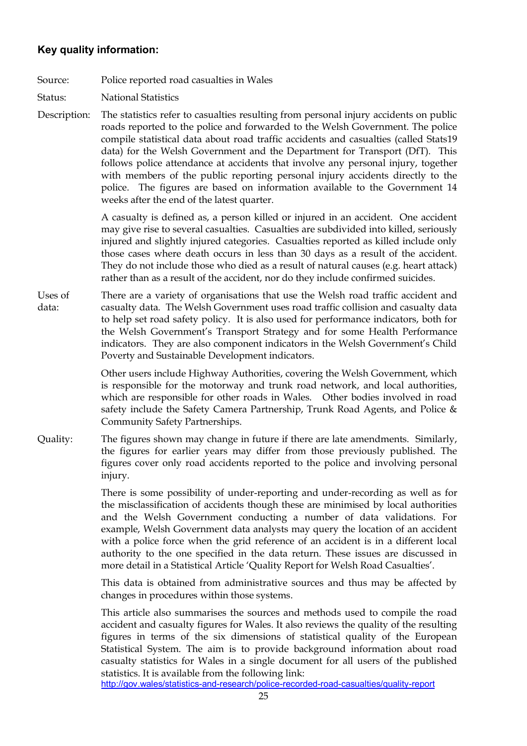# **Key quality information:**

- Source: Police reported road casualties in Wales
- Status: National Statistics
- Description: The statistics refer to casualties resulting from personal injury accidents on public roads reported to the police and forwarded to the Welsh Government. The police compile statistical data about road traffic accidents and casualties (called Stats19 data) for the Welsh Government and the Department for Transport (DfT). This follows police attendance at accidents that involve any personal injury, together with members of the public reporting personal injury accidents directly to the police. The figures are based on information available to the Government 14 weeks after the end of the latest quarter.

A casualty is defined as, a person killed or injured in an accident. One accident may give rise to several casualties. Casualties are subdivided into killed, seriously injured and slightly injured categories. Casualties reported as killed include only those cases where death occurs in less than 30 days as a result of the accident. They do not include those who died as a result of natural causes (e.g. heart attack) rather than as a result of the accident, nor do they include confirmed suicides.

Uses of data: There are a variety of organisations that use the Welsh road traffic accident and casualty data. The Welsh Government uses road traffic collision and casualty data to help set road safety policy. It is also used for performance indicators, both for the Welsh Government's Transport Strategy and for some Health Performance indicators. They are also component indicators in the Welsh Government's Child Poverty and Sustainable Development indicators.

> Other users include Highway Authorities, covering the Welsh Government, which is responsible for the motorway and trunk road network, and local authorities, which are responsible for other roads in Wales. Other bodies involved in road safety include the Safety Camera Partnership, Trunk Road Agents, and Police & Community Safety Partnerships.

Quality: The figures shown may change in future if there are late amendments. Similarly, the figures for earlier years may differ from those previously published. The figures cover only road accidents reported to the police and involving personal injury.

> There is some possibility of under-reporting and under-recording as well as for the misclassification of accidents though these are minimised by local authorities and the Welsh Government conducting a number of data validations. For example, Welsh Government data analysts may query the location of an accident with a police force when the grid reference of an accident is in a different local authority to the one specified in the data return. These issues are discussed in more detail in a Statistical Article 'Quality Report for Welsh Road Casualties'.

> This data is obtained from administrative sources and thus may be affected by changes in procedures within those systems.

> This article also summarises the sources and methods used to compile the road accident and casualty figures for Wales. It also reviews the quality of the resulting figures in terms of the six dimensions of statistical quality of the European Statistical System. The aim is to provide background information about road casualty statistics for Wales in a single document for all users of the published statistics. It is available from the following link:

<http://gov.wales/statistics-and-research/police-recorded-road-casualties/quality-report>